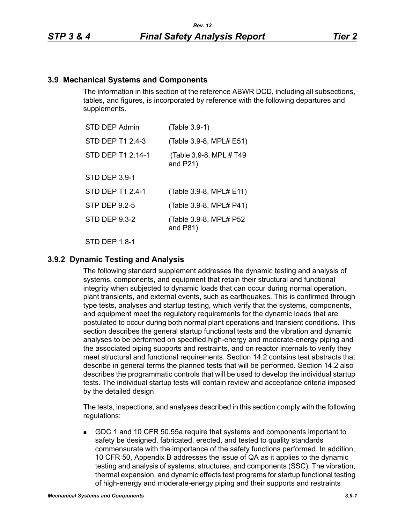## **3.9 Mechanical Systems and Components**

The information in this section of the reference ABWR DCD, including all subsections, tables, and figures, is incorporated by reference with the following departures and supplements.

| STD DEP Admin        | (Table 3.9-1)                           |
|----------------------|-----------------------------------------|
| STD DEP T1 2.4-3     | (Table 3.9-8, MPL# E51)                 |
| STD DEP T1 2.14-1    | (Table 3.9-8, MPL # T49)<br>and $P21$ ) |
| <b>STD DEP 3.9-1</b> |                                         |
| STD DEP T1 2.4-1     | (Table 3.9-8, MPL# E11)                 |
| STP DEP 9.2-5        | (Table 3.9-8, MPL# P41)                 |
| STD DEP 9.3-2        | (Table 3.9-8, MPL# P52<br>and $P81$ )   |
|                      |                                         |

STD DFP 18-1

# **3.9.2 Dynamic Testing and Analysis**

The following standard supplement addresses the dynamic testing and analysis of systems, components, and equipment that retain their structural and functional integrity when subjected to dynamic loads that can occur during normal operation, plant transients, and external events, such as earthquakes. This is confirmed through type tests, analyses and startup testing, which verify that the systems, components, and equipment meet the regulatory requirements for the dynamic loads that are postulated to occur during both normal plant operations and transient conditions. This section describes the general startup functional tests and the vibration and dynamic analyses to be performed on specified high-energy and moderate-energy piping and the associated piping supports and restraints, and on reactor internals to verify they meet structural and functional requirements. Section 14.2 contains test abstracts that describe in general terms the planned tests that will be performed. Section 14.2 also describes the programmatic controls that will be used to develop the individual startup tests. The individual startup tests will contain review and acceptance criteria imposed by the detailed design.

The tests, inspections, and analyses described in this section comply with the following regulations:

 GDC 1 and 10 CFR 50.55a require that systems and components important to safety be designed, fabricated, erected, and tested to quality standards commensurate with the importance of the safety functions performed. In addition, 10 CFR 50, Appendix B addresses the issue of QA as it applies to the dynamic testing and analysis of systems, structures, and components (SSC). The vibration, thermal expansion, and dynamic effects test programs for startup functional testing of high-energy and moderate-energy piping and their supports and restraints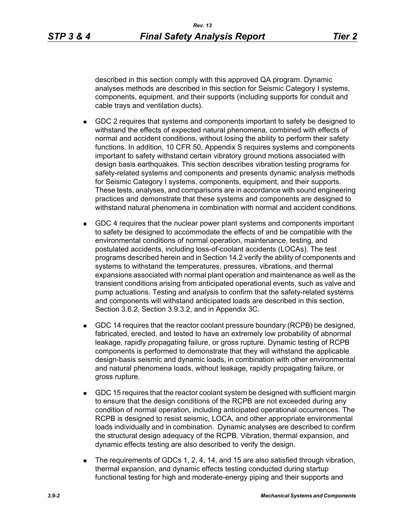described in this section comply with this approved QA program. Dynamic analyses methods are described in this section for Seismic Category I systems, components, equipment, and their supports (including supports for conduit and cable trays and ventilation ducts).

- GDC 2 requires that systems and components important to safety be designed to withstand the effects of expected natural phenomena, combined with effects of normal and accident conditions, without losing the ability to perform their safety functions. In addition, 10 CFR 50, Appendix S requires systems and components important to safety withstand certain vibratory ground motions associated with design basis earthquakes. This section describes vibration testing programs for safety-related systems and components and presents dynamic analysis methods for Seismic Category I systems, components, equipment, and their supports. These tests, analyses, and comparisons are in accordance with sound engineering practices and demonstrate that these systems and components are designed to withstand natural phenomena in combination with normal and accident conditions.
- GDC 4 requires that the nuclear power plant systems and components important to safety be designed to accommodate the effects of and be compatible with the environmental conditions of normal operation, maintenance, testing, and postulated accidents, including loss-of-coolant accidents (LOCAs). The test programs described herein and in Section 14.2 verify the ability of components and systems to withstand the temperatures, pressures, vibrations, and thermal expansions associated with normal plant operation and maintenance as well as the transient conditions arising from anticipated operational events, such as valve and pump actuations. Testing and analysis to confirm that the safety-related systems and components will withstand anticipated loads are described in this section, Section 3.6.2, Section 3.9.3.2, and in Appendix 3C.
- GDC 14 requires that the reactor coolant pressure boundary (RCPB) be designed, fabricated, erected, and tested to have an extremely low probability of abnormal leakage, rapidly propagating failure, or gross rupture. Dynamic testing of RCPB components is performed to demonstrate that they will withstand the applicable design-basis seismic and dynamic loads, in combination with other environmental and natural phenomena loads, without leakage, rapidly propagating failure, or gross rupture.
- GDC 15 requires that the reactor coolant system be designed with sufficient margin to ensure that the design conditions of the RCPB are not exceeded during any condition of normal operation, including anticipated operational occurrences. The RCPB is designed to resist seismic, LOCA, and other appropriate environmental loads individually and in combination. Dynamic analyses are described to confirm the structural design adequacy of the RCPB. Vibration, thermal expansion, and dynamic effects testing are also described to verify the design.
- The requirements of GDCs 1, 2, 4, 14, and 15 are also satisfied through vibration, thermal expansion, and dynamic effects testing conducted during startup functional testing for high and moderate-energy piping and their supports and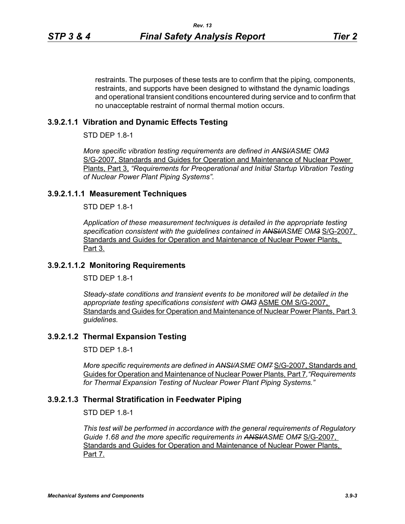restraints. The purposes of these tests are to confirm that the piping, components, restraints, and supports have been designed to withstand the dynamic loadings and operational transient conditions encountered during service and to confirm that no unacceptable restraint of normal thermal motion occurs.

## **3.9.2.1.1 Vibration and Dynamic Effects Testing**

STD DEP 1.8-1

*More specific vibration testing requirements are defined in ANSI/ASME OM3* S/G-2007, Standards and Guides for Operation and Maintenance of Nuclear Power Plants, Part 3, *"Requirements for Preoperational and Initial Startup Vibration Testing of Nuclear Power Plant Piping Systems".*

### **3.9.2.1.1.1 Measurement Techniques**

STD DEP 1.8-1

*Application of these measurement techniques is detailed in the appropriate testing specification consistent with the guidelines contained in ANSI/ASME OM3* S/G-2007, Standards and Guides for Operation and Maintenance of Nuclear Power Plants, Part 3.

### **3.9.2.1.1.2 Monitoring Requirements**

 $STD$  DFP 1.8-1

*Steady-state conditions and transient events to be monitored will be detailed in the appropriate testing specifications consistent with OM3* ASME OM S/G-2007, Standards and Guides for Operation and Maintenance of Nuclear Power Plants. Part 3 *guidelines.*

### **3.9.2.1.2 Thermal Expansion Testing**

STD DEP 1.8-1

*More specific requirements are defined in ANSHASME OM7 S/G-2007, Standards and* Guides for Operation and Maintenance of Nuclear Power Plants, Part 7*,"Requirements for Thermal Expansion Testing of Nuclear Power Plant Piping Systems."*

### **3.9.2.1.3 Thermal Stratification in Feedwater Piping**

STD DEP 1.8-1

*This test will be performed in accordance with the general requirements of Regulatory*  Guide 1.68 and the more specific requirements in ANSI/ASME OM7 S/G-2007, Standards and Guides for Operation and Maintenance of Nuclear Power Plants, Part 7.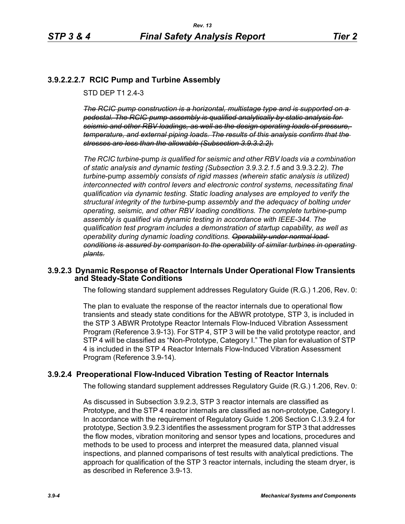# **3.9.2.2.2.7 RCIC Pump and Turbine Assembly**

STD DFP T1 2 4-3

*The RCIC pump construction is a horizontal, multistage type and is supported on a pedestal. The RCIC pump assembly is qualified analytically by static analysis for seismic and other RBV loadings, as well as the design operating loads of pressure, temperature, and external piping loads. The results of this analysis confirm that the stresses are less than the allowable (Subsection 3.9.3.2.2).*

*The RCIC turbine*-pump *is qualified for seismic and other RBV loads via a combination of static analysis and dynamic testing (Subsection 3.9.3.2.1.5* and 3.9.3.2.2*). The turbine*-pump *assembly consists of rigid masses (wherein static analysis is utilized) interconnected with control levers and electronic control systems, necessitating final qualification via dynamic testing. Static loading analyses are employed to verify the structural integrity of the turbine*-pump *assembly and the adequacy of bolting under operating, seismic, and other RBV loading conditions. The complete turbine*-pump *assembly is qualified via dynamic testing in accordance with IEEE-344. The qualification test program includes a demonstration of startup capability, as well as operability during dynamic loading conditions. Operability under normal load conditions is assured by comparison to the operability of similar turbines in operating plants.*

## **3.9.2.3 Dynamic Response of Reactor Internals Under Operational Flow Transients and Steady-State Conditions**

The following standard supplement addresses Regulatory Guide (R.G.) 1.206, Rev. 0:

The plan to evaluate the response of the reactor internals due to operational flow transients and steady state conditions for the ABWR prototype, STP 3, is included in the STP 3 ABWR Prototype Reactor Internals Flow-Induced Vibration Assessment Program (Reference 3.9-13). For STP 4, STP 3 will be the valid prototype reactor, and STP 4 will be classified as "Non-Prototype, Category I." The plan for evaluation of STP 4 is included in the STP 4 Reactor Internals Flow-Induced Vibration Assessment Program (Reference 3.9-14).

# **3.9.2.4 Preoperational Flow-Induced Vibration Testing of Reactor Internals**

The following standard supplement addresses Regulatory Guide (R.G.) 1.206, Rev. 0:

As discussed in Subsection 3.9.2.3, STP 3 reactor internals are classified as Prototype, and the STP 4 reactor internals are classified as non-prototype, Category I. In accordance with the requirement of Regulatory Guide 1.206 Section C.I.3.9.2.4 for prototype, Section 3.9.2.3 identifies the assessment program for STP 3 that addresses the flow modes, vibration monitoring and sensor types and locations, procedures and methods to be used to process and interpret the measured data, planned visual inspections, and planned comparisons of test results with analytical predictions. The approach for qualification of the STP 3 reactor internals, including the steam dryer, is as described in Reference 3.9-13.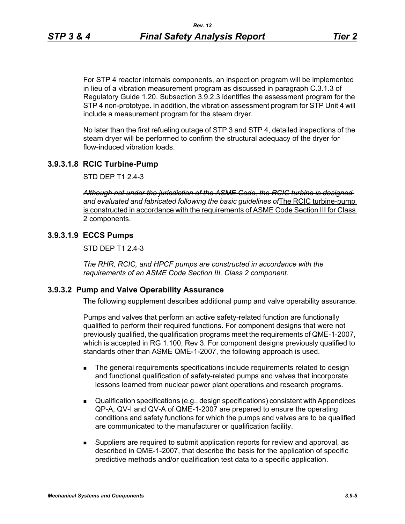For STP 4 reactor internals components, an inspection program will be implemented in lieu of a vibration measurement program as discussed in paragraph C.3.1.3 of Regulatory Guide 1.20. Subsection 3.9.2.3 identifies the assessment program for the STP 4 non-prototype. In addition, the vibration assessment program for STP Unit 4 will include a measurement program for the steam dryer.

No later than the first refueling outage of STP 3 and STP 4, detailed inspections of the steam dryer will be performed to confirm the structural adequacy of the dryer for flow-induced vibration loads.

## **3.9.3.1.8 RCIC Turbine-Pump**

STD DEP T1 2.4-3

*Although not under the jurisdiction of the ASME Code, the RCIC turbine is designed and evaluated and fabricated following the basic guidelines of*The RCIC turbine-pump is constructed in accordance with the requirements of ASME Code Section III for Class 2 components.

#### **3.9.3.1.9 ECCS Pumps**

STD DEP T1 2.4-3

*The RHR, RCIC, and HPCF pumps are constructed in accordance with the requirements of an ASME Code Section III, Class 2 component.*

#### **3.9.3.2 Pump and Valve Operability Assurance**

The following supplement describes additional pump and valve operability assurance.

Pumps and valves that perform an active safety-related function are functionally qualified to perform their required functions. For component designs that were not previously qualified, the qualification programs meet the requirements of QME-1-2007, which is accepted in RG 1.100, Rev 3. For component designs previously qualified to standards other than ASME QME-1-2007, the following approach is used.

- **The general requirements specifications include requirements related to design** and functional qualification of safety-related pumps and valves that incorporate lessons learned from nuclear power plant operations and research programs.
- Qualification specifications (e.g., design specifications) consistent with Appendices QP-A, QV-I and QV-A of QME-1-2007 are prepared to ensure the operating conditions and safety functions for which the pumps and valves are to be qualified are communicated to the manufacturer or qualification facility.
- Suppliers are required to submit application reports for review and approval, as described in QME-1-2007, that describe the basis for the application of specific predictive methods and/or qualification test data to a specific application.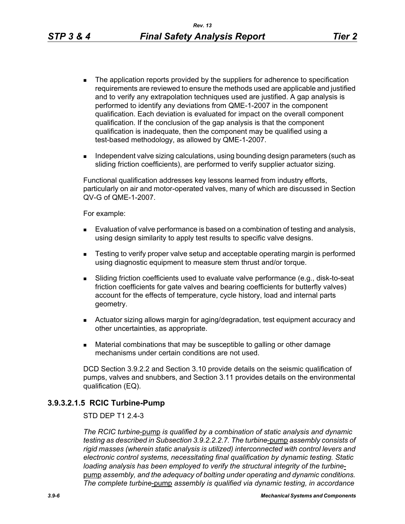- The application reports provided by the suppliers for adherence to specification requirements are reviewed to ensure the methods used are applicable and justified and to verify any extrapolation techniques used are justified. A gap analysis is performed to identify any deviations from QME-1-2007 in the component qualification. Each deviation is evaluated for impact on the overall component qualification. If the conclusion of the gap analysis is that the component qualification is inadequate, then the component may be qualified using a test-based methodology, as allowed by QME-1-2007.
- Independent valve sizing calculations, using bounding design parameters (such as sliding friction coefficients), are performed to verify supplier actuator sizing.

Functional qualification addresses key lessons learned from industry efforts, particularly on air and motor-operated valves, many of which are discussed in Section QV-G of QME-1-2007.

For example:

- **Evaluation of valve performance is based on a combination of testing and analysis,** using design similarity to apply test results to specific valve designs.
- **EXECT** Testing to verify proper valve setup and acceptable operating margin is performed using diagnostic equipment to measure stem thrust and/or torque.
- Sliding friction coefficients used to evaluate valve performance (e.g., disk-to-seat friction coefficients for gate valves and bearing coefficients for butterfly valves) account for the effects of temperature, cycle history, load and internal parts geometry.
- Actuator sizing allows margin for aging/degradation, test equipment accuracy and other uncertainties, as appropriate.
- Material combinations that may be susceptible to galling or other damage mechanisms under certain conditions are not used.

DCD Section 3.9.2.2 and Section 3.10 provide details on the seismic qualification of pumps, valves and snubbers, and Section 3.11 provides details on the environmental qualification (EQ).

#### **3.9.3.2.1.5 RCIC Turbine-Pump**

#### STD DEP T1 2.4-3

*The RCIC turbine*-pump *is qualified by a combination of static analysis and dynamic testing as described in Subsection 3.9.2.2.2.7. The turbine*-pump *assembly consists of rigid masses (wherein static analysis is utilized) interconnected with control levers and electronic control systems, necessitating final qualification by dynamic testing. Static loading analysis has been employed to verify the structural integrity of the turbine*pump *assembly, and the adequacy of bolting under operating and dynamic conditions. The complete turbine*-pump *assembly is qualified via dynamic testing, in accordance*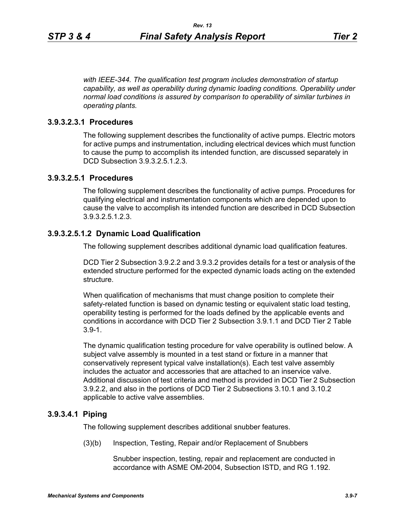*with IEEE-344. The qualification test program includes demonstration of startup capability, as well as operability during dynamic loading conditions. Operability under normal load conditions is assured by comparison to operability of similar turbines in operating plants.*

## **3.9.3.2.3.1 Procedures**

The following supplement describes the functionality of active pumps. Electric motors for active pumps and instrumentation, including electrical devices which must function to cause the pump to accomplish its intended function, are discussed separately in DCD Subsection 3.9.3.2.5.1.2.3.

## **3.9.3.2.5.1 Procedures**

The following supplement describes the functionality of active pumps. Procedures for qualifying electrical and instrumentation components which are depended upon to cause the valve to accomplish its intended function are described in DCD Subsection 3.9.3.2.5.1.2.3.

### **3.9.3.2.5.1.2 Dynamic Load Qualification**

The following supplement describes additional dynamic load qualification features.

DCD Tier 2 Subsection 3.9.2.2 and 3.9.3.2 provides details for a test or analysis of the extended structure performed for the expected dynamic loads acting on the extended structure.

When qualification of mechanisms that must change position to complete their safety-related function is based on dynamic testing or equivalent static load testing, operability testing is performed for the loads defined by the applicable events and conditions in accordance with DCD Tier 2 Subsection 3.9.1.1 and DCD Tier 2 Table 3.9-1.

The dynamic qualification testing procedure for valve operability is outlined below. A subject valve assembly is mounted in a test stand or fixture in a manner that conservatively represent typical valve installation(s). Each test valve assembly includes the actuator and accessories that are attached to an inservice valve. Additional discussion of test criteria and method is provided in DCD Tier 2 Subsection 3.9.2.2, and also in the portions of DCD Tier 2 Subsections 3.10.1 and 3.10.2 applicable to active valve assemblies.

#### **3.9.3.4.1 Piping**

The following supplement describes additional snubber features.

(3)(b) Inspection, Testing, Repair and/or Replacement of Snubbers

Snubber inspection, testing, repair and replacement are conducted in accordance with ASME OM-2004, Subsection ISTD, and RG 1.192.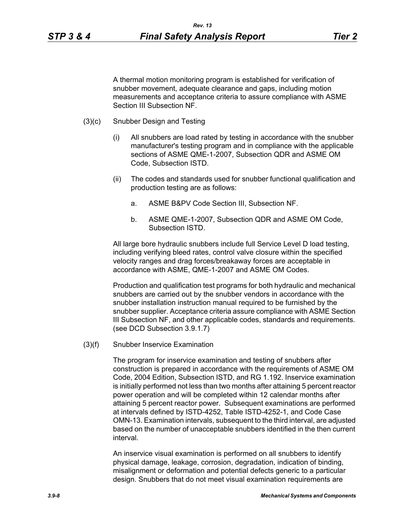A thermal motion monitoring program is established for verification of snubber movement, adequate clearance and gaps, including motion measurements and acceptance criteria to assure compliance with ASME Section III Subsection NF.

- (3)(c) Snubber Design and Testing
	- (i) All snubbers are load rated by testing in accordance with the snubber manufacturer's testing program and in compliance with the applicable sections of ASME QME-1-2007, Subsection QDR and ASME OM Code, Subsection ISTD.
	- (ii) The codes and standards used for snubber functional qualification and production testing are as follows:
		- a. ASME B&PV Code Section III, Subsection NF.
		- b. ASME QME-1-2007, Subsection QDR and ASME OM Code, Subsection ISTD.

All large bore hydraulic snubbers include full Service Level D load testing, including verifying bleed rates, control valve closure within the specified velocity ranges and drag forces/breakaway forces are acceptable in accordance with ASME, QME-1-2007 and ASME OM Codes.

Production and qualification test programs for both hydraulic and mechanical snubbers are carried out by the snubber vendors in accordance with the snubber installation instruction manual required to be furnished by the snubber supplier. Acceptance criteria assure compliance with ASME Section III Subsection NF, and other applicable codes, standards and requirements. (see DCD Subsection 3.9.1.7)

(3)(f) Snubber Inservice Examination

The program for inservice examination and testing of snubbers after construction is prepared in accordance with the requirements of ASME OM Code, 2004 Edition, Subsection ISTD, and RG 1.192. Inservice examination is initially performed not less than two months after attaining 5 percent reactor power operation and will be completed within 12 calendar months after attaining 5 percent reactor power. Subsequent examinations are performed at intervals defined by ISTD-4252, Table ISTD-4252-1, and Code Case OMN-13. Examination intervals, subsequent to the third interval, are adjusted based on the number of unacceptable snubbers identified in the then current interval.

An inservice visual examination is performed on all snubbers to identify physical damage, leakage, corrosion, degradation, indication of binding, misalignment or deformation and potential defects generic to a particular design. Snubbers that do not meet visual examination requirements are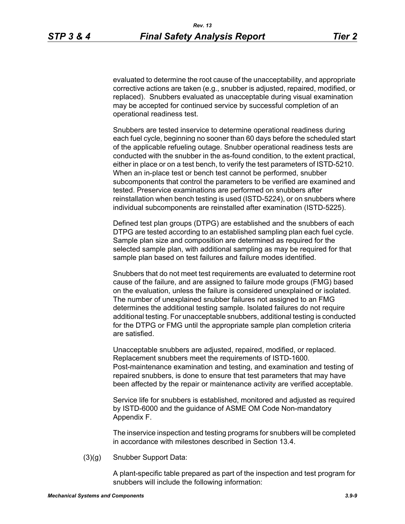evaluated to determine the root cause of the unacceptability, and appropriate corrective actions are taken (e.g., snubber is adjusted, repaired, modified, or replaced). Snubbers evaluated as unacceptable during visual examination may be accepted for continued service by successful completion of an operational readiness test.

Snubbers are tested inservice to determine operational readiness during each fuel cycle, beginning no sooner than 60 days before the scheduled start of the applicable refueling outage. Snubber operational readiness tests are conducted with the snubber in the as-found condition, to the extent practical, either in place or on a test bench, to verify the test parameters of ISTD-5210. When an in-place test or bench test cannot be performed, snubber subcomponents that control the parameters to be verified are examined and tested. Preservice examinations are performed on snubbers after reinstallation when bench testing is used (ISTD-5224), or on snubbers where individual subcomponents are reinstalled after examination (ISTD-5225).

Defined test plan groups (DTPG) are established and the snubbers of each DTPG are tested according to an established sampling plan each fuel cycle. Sample plan size and composition are determined as required for the selected sample plan, with additional sampling as may be required for that sample plan based on test failures and failure modes identified.

Snubbers that do not meet test requirements are evaluated to determine root cause of the failure, and are assigned to failure mode groups (FMG) based on the evaluation, unless the failure is considered unexplained or isolated. The number of unexplained snubber failures not assigned to an FMG determines the additional testing sample. Isolated failures do not require additional testing. For unacceptable snubbers, additional testing is conducted for the DTPG or FMG until the appropriate sample plan completion criteria are satisfied.

Unacceptable snubbers are adjusted, repaired, modified, or replaced. Replacement snubbers meet the requirements of ISTD-1600. Post-maintenance examination and testing, and examination and testing of repaired snubbers, is done to ensure that test parameters that may have been affected by the repair or maintenance activity are verified acceptable.

Service life for snubbers is established, monitored and adjusted as required by ISTD-6000 and the guidance of ASME OM Code Non-mandatory Appendix F.

The inservice inspection and testing programs for snubbers will be completed in accordance with milestones described in Section 13.4.

(3)(g) Snubber Support Data:

A plant-specific table prepared as part of the inspection and test program for snubbers will include the following information: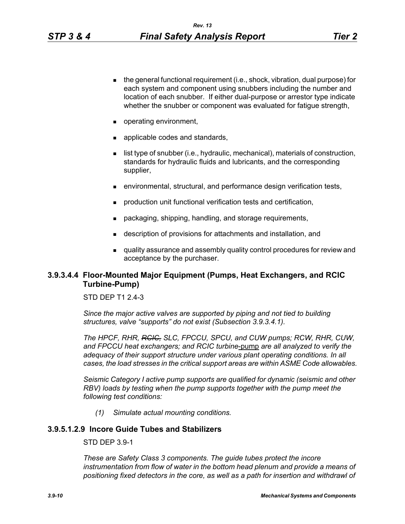- $\blacksquare$  the general functional requirement (i.e., shock, vibration, dual purpose) for each system and component using snubbers including the number and location of each snubber. If either dual-purpose or arrestor type indicate whether the snubber or component was evaluated for fatigue strength,
- operating environment,
- **a** applicable codes and standards,
- **I** list type of snubber (i.e., hydraulic, mechanical), materials of construction, standards for hydraulic fluids and lubricants, and the corresponding supplier,
- environmental, structural, and performance design verification tests,
- **production unit functional verification tests and certification,**
- packaging, shipping, handling, and storage requirements,
- description of provisions for attachments and installation, and
- quality assurance and assembly quality control procedures for review and acceptance by the purchaser.

# **3.9.3.4.4 Floor-Mounted Major Equipment (Pumps, Heat Exchangers, and RCIC Turbine-Pump)**

#### STD DFP T1 2 4-3

*Since the major active valves are supported by piping and not tied to building structures, valve "supports" do not exist (Subsection 3.9.3.4.1).*

*The HPCF, RHR, RCIC, SLC, FPCCU, SPCU, and CUW pumps; RCW, RHR, CUW, and FPCCU heat exchangers; and RCIC turbine*-pump *are all analyzed to verify the adequacy of their support structure under various plant operating conditions. In all cases, the load stresses in the critical support areas are within ASME Code allowables.*

*Seismic Category I active pump supports are qualified for dynamic (seismic and other RBV*) loads by testing when the pump supports together with the pump meet the *following test conditions:*

*(1) Simulate actual mounting conditions.*

### **3.9.5.1.2.9 Incore Guide Tubes and Stabilizers**

STD DEP 3.9-1

*These are Safety Class 3 components. The guide tubes protect the incore*  instrumentation from flow of water in the bottom head plenum and provide a means of *positioning fixed detectors in the core, as well as a path for insertion and withdrawl of*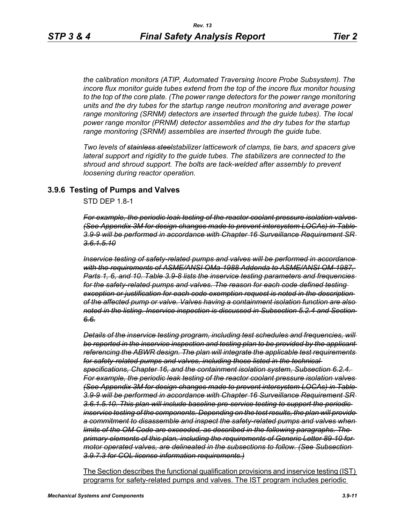*the calibration monitors (ATIP, Automated Traversing Incore Probe Subsystem). The incore flux monitor guide tubes extend from the top of the incore flux monitor housing to the top of the core plate. (The power range detectors for the power range monitoring units and the dry tubes for the startup range neutron monitoring and average power range monitoring (SRNM) detectors are inserted through the guide tubes). The local power range monitor (PRNM) detector assemblies and the dry tubes for the startup range monitoring (SRNM) assemblies are inserted through the guide tube.*

*Two levels of stainless steelstabilizer latticework of clamps, tie bars, and spacers give lateral support and rigidity to the guide tubes. The stabilizers are connected to the shroud and shroud support. The bolts are tack-welded after assembly to prevent loosening during reactor operation.*

### **3.9.6 Testing of Pumps and Valves**

STD DEP 1.8-1

*For example, the periodic leak testing of the reactor coolant pressure isolation valves (See Appendix 3M for design changes made to prevent intersystem LOCAs) in Table 3.9-9 will be performed in accordance with Chapter 16 Surveillance Requirement SR 3.6.1.5.10*

*Inservice testing of safety-related pumps and valves will be performed in accordance with the requirements of ASME/ANSI OMa-1988 Addenda to ASME/ANSI OM-1987, Parts 1, 6, and 10. Table 3.9-8 lists the inservice testing parameters and frequencies for the safety-related pumps and valves. The reason for each code defined testing exception or justification for each code exemption request is noted in the description of the affected pump or valve. Valves having a containment isolation function are also noted in the listing. Inservice inspection is discussed in Subsection 5.2.4 and Section 6.6.*

*Details of the inservice testing program, including test schedules and frequencies, will be reported in the inservice inspection and testing plan to be provided by the applicant referencing the ABWR design. The plan will integrate the applicable test requirements for safety-related pumps and valves, including those listed in the technical specifications, Chapter 16, and the containment isolation system, Subsection 6.2.4. For example, the periodic leak testing of the reactor coolant pressure isolation valves (See Appendix 3M for design changes made to prevent intersystem LOCAs) in Table 3.9-9 will be performed in accordance with Chapter 16 Surveillance Requirement SR 3.6.1.5.10. This plan will include baseline pre-service testing to support the periodic inservice testing of the components. Depending on the test results, the plan will provide a commitment to disassemble and inspect the safety-related pumps and valves when limits of the OM Code are exceeded, as described in the following paragraphs. The primary elements of this plan, including the requirements of Generic Letter 89-10 for motor operated valves, are delineated in the subsections to follow. (See Subsection 3.9.7.3 for COL license information requirements.)*

The Section describes the functional qualification provisions and inservice testing (IST) programs for safety-related pumps and valves. The IST program includes periodic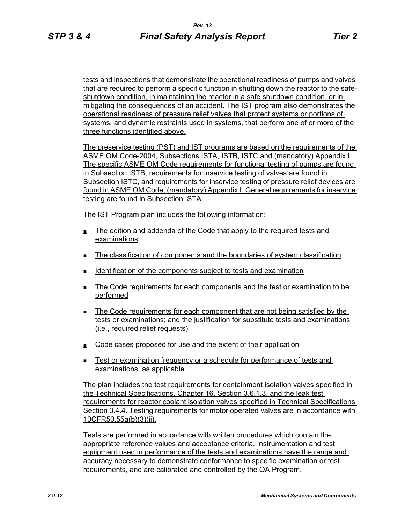tests and inspections that demonstrate the operational readiness of pumps and valves that are required to perform a specific function in shutting down the reactor to the safeshutdown condition, in maintaining the reactor in a safe shutdown condition, or in mitigating the consequences of an accident. The IST program also demonstrates the operational readiness of pressure relief valves that protect systems or portions of systems, and dynamic restraints used in systems, that perform one of or more of the three functions identified above.

The preservice testing (PST) and IST programs are based on the requirements of the ASME OM Code-2004, Subsections ISTA, ISTB, ISTC and (mandatory) Appendix I. The specific ASME OM Code requirements for functional testing of pumps are found in Subsection ISTB, requirements for inservice testing of valves are found in Subsection ISTC, and requirements for inservice testing of pressure relief devices are found in ASME OM Code, (mandatory) Appendix I. General requirements for inservice testing are found in Subsection ISTA.

The IST Program plan includes the following information:

- $\blacksquare$  The edition and addenda of the Code that apply to the required tests and examinations
- The classification of components and the boundaries of system classification
- Identification of the components subject to tests and examination
- The Code requirements for each components and the test or examination to be performed
- The Code requirements for each component that are not being satisfied by the tests or examinations; and the justification for substitute tests and examinations (i.e., required relief requests)
- $\Box$  Code cases proposed for use and the extent of their application
- Test or examination frequency or a schedule for performance of tests and examinations, as applicable.

The plan includes the test requirements for containment isolation valves specified in the Technical Specifications, Chapter 16, Section 3.6.1.3, and the leak test requirements for reactor coolant isolation valves specified in Technical Specifications Section 3.4.4. Testing requirements for motor operated valves are in accordance with 10CFR50.55a(b)(3)(ii).

Tests are performed in accordance with written procedures which contain the appropriate reference values and acceptance criteria. Instrumentation and test equipment used in performance of the tests and examinations have the range and accuracy necessary to demonstrate conformance to specific examination or test requirements, and are calibrated and controlled by the QA Program.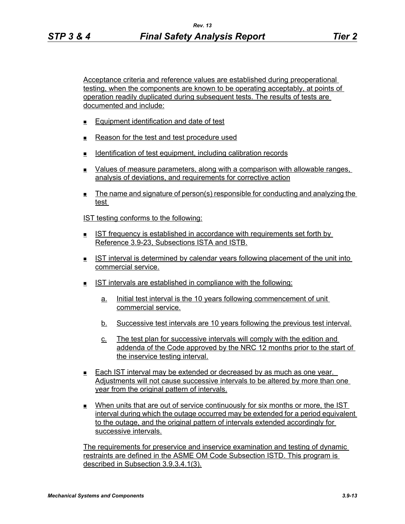Acceptance criteria and reference values are established during preoperational testing, when the components are known to be operating acceptably, at points of operation readily duplicated during subsequent tests. The results of tests are documented and include:

- **Equipment identification and date of test**
- Reason for the test and test procedure used
- **Identification of test equipment, including calibration records**
- Values of measure parameters, along with a comparison with allowable ranges, analysis of deviations, and requirements for corrective action
- The name and signature of person(s) responsible for conducting and analyzing the test

IST testing conforms to the following:

- IST frequency is established in accordance with requirements set forth by Reference 3.9-23, Subsections ISTA and ISTB.
- IST interval is determined by calendar years following placement of the unit into commercial service.
- IST intervals are established in compliance with the following:
	- a. Initial test interval is the 10 years following commencement of unit commercial service.
	- b. Successive test intervals are 10 years following the previous test interval.
	- c. The test plan for successive intervals will comply with the edition and addenda of the Code approved by the NRC 12 months prior to the start of the inservice testing interval.
- Each IST interval may be extended or decreased by as much as one year. Adjustments will not cause successive intervals to be altered by more than one year from the original pattern of intervals.
- When units that are out of service continuously for six months or more, the IST interval during which the outage occurred may be extended for a period equivalent to the outage, and the original pattern of intervals extended accordingly for successive intervals.

The requirements for preservice and inservice examination and testing of dynamic restraints are defined in the ASME OM Code Subsection ISTD. This program is described in Subsection 3.9.3.4.1(3).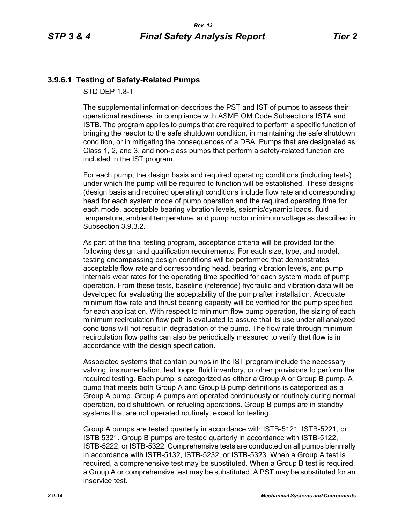# **3.9.6.1 Testing of Safety-Related Pumps**

STD DEP 1.8-1

The supplemental information describes the PST and IST of pumps to assess their operational readiness, in compliance with ASME OM Code Subsections ISTA and ISTB. The program applies to pumps that are required to perform a specific function of bringing the reactor to the safe shutdown condition, in maintaining the safe shutdown condition, or in mitigating the consequences of a DBA. Pumps that are designated as Class 1, 2, and 3, and non-class pumps that perform a safety-related function are included in the IST program.

For each pump, the design basis and required operating conditions (including tests) under which the pump will be required to function will be established. These designs (design basis and required operating) conditions include flow rate and corresponding head for each system mode of pump operation and the required operating time for each mode, acceptable bearing vibration levels, seismic/dynamic loads, fluid temperature, ambient temperature, and pump motor minimum voltage as described in Subsection 3.9.3.2.

As part of the final testing program, acceptance criteria will be provided for the following design and qualification requirements. For each size, type, and model, testing encompassing design conditions will be performed that demonstrates acceptable flow rate and corresponding head, bearing vibration levels, and pump internals wear rates for the operating time specified for each system mode of pump operation. From these tests, baseline (reference) hydraulic and vibration data will be developed for evaluating the acceptability of the pump after installation. Adequate minimum flow rate and thrust bearing capacity will be verified for the pump specified for each application. With respect to minimum flow pump operation, the sizing of each minimum recirculation flow path is evaluated to assure that its use under all analyzed conditions will not result in degradation of the pump. The flow rate through minimum recirculation flow paths can also be periodically measured to verify that flow is in accordance with the design specification.

Associated systems that contain pumps in the IST program include the necessary valving, instrumentation, test loops, fluid inventory, or other provisions to perform the required testing. Each pump is categorized as either a Group A or Group B pump. A pump that meets both Group A and Group B pump definitions is categorized as a Group A pump. Group A pumps are operated continuously or routinely during normal operation, cold shutdown, or refueling operations. Group B pumps are in standby systems that are not operated routinely, except for testing.

Group A pumps are tested quarterly in accordance with ISTB-5121, ISTB-5221, or ISTB 5321. Group B pumps are tested quarterly in accordance with ISTB-5122, ISTB-5222, or ISTB-5322. Comprehensive tests are conducted on all pumps biennially in accordance with ISTB-5132, ISTB-5232, or ISTB-5323. When a Group A test is required, a comprehensive test may be substituted. When a Group B test is required, a Group A or comprehensive test may be substituted. A PST may be substituted for an inservice test.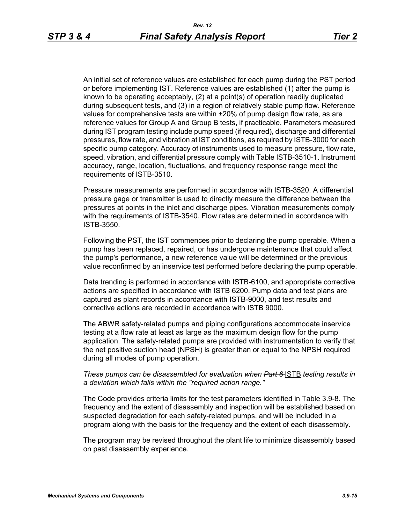An initial set of reference values are established for each pump during the PST period or before implementing IST. Reference values are established (1) after the pump is known to be operating acceptably, (2) at a point(s) of operation readily duplicated during subsequent tests, and (3) in a region of relatively stable pump flow. Reference values for comprehensive tests are within ±20% of pump design flow rate, as are reference values for Group A and Group B tests, if practicable. Parameters measured during IST program testing include pump speed (if required), discharge and differential pressures, flow rate, and vibration at IST conditions, as required by ISTB-3000 for each specific pump category. Accuracy of instruments used to measure pressure, flow rate, speed, vibration, and differential pressure comply with Table ISTB-3510-1. Instrument accuracy, range, location, fluctuations, and frequency response range meet the requirements of ISTB-3510.

Pressure measurements are performed in accordance with ISTB-3520. A differential pressure gage or transmitter is used to directly measure the difference between the pressures at points in the inlet and discharge pipes. Vibration measurements comply with the requirements of ISTB-3540. Flow rates are determined in accordance with ISTB-3550.

Following the PST, the IST commences prior to declaring the pump operable. When a pump has been replaced, repaired, or has undergone maintenance that could affect the pump's performance, a new reference value will be determined or the previous value reconfirmed by an inservice test performed before declaring the pump operable.

Data trending is performed in accordance with ISTB-6100, and appropriate corrective actions are specified in accordance with ISTB 6200. Pump data and test plans are captured as plant records in accordance with ISTB-9000, and test results and corrective actions are recorded in accordance with ISTB 9000.

The ABWR safety-related pumps and piping configurations accommodate inservice testing at a flow rate at least as large as the maximum design flow for the pump application. The safety-related pumps are provided with instrumentation to verify that the net positive suction head (NPSH) is greater than or equal to the NPSH required during all modes of pump operation.

#### *These pumps can be disassembled for evaluation when Part 6-ISTB testing results in a deviation which falls within the "required action range."*

The Code provides criteria limits for the test parameters identified in Table 3.9-8. The frequency and the extent of disassembly and inspection will be established based on suspected degradation for each safety-related pumps, and will be included in a program along with the basis for the frequency and the extent of each disassembly.

The program may be revised throughout the plant life to minimize disassembly based on past disassembly experience.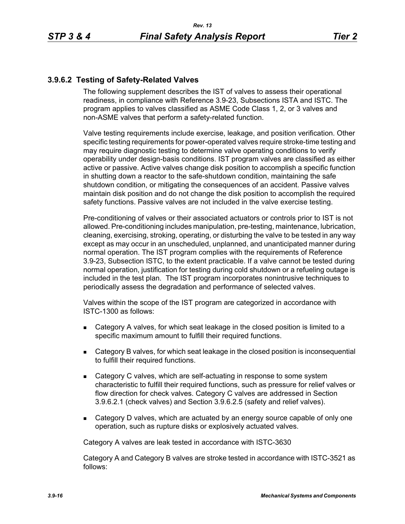# **3.9.6.2 Testing of Safety-Related Valves**

The following supplement describes the IST of valves to assess their operational readiness, in compliance with Reference 3.9-23, Subsections ISTA and ISTC. The program applies to valves classified as ASME Code Class 1, 2, or 3 valves and non-ASME valves that perform a safety-related function.

Valve testing requirements include exercise, leakage, and position verification. Other specific testing requirements for power-operated valves require stroke-time testing and may require diagnostic testing to determine valve operating conditions to verify operability under design-basis conditions. IST program valves are classified as either active or passive. Active valves change disk position to accomplish a specific function in shutting down a reactor to the safe-shutdown condition, maintaining the safe shutdown condition, or mitigating the consequences of an accident. Passive valves maintain disk position and do not change the disk position to accomplish the required safety functions. Passive valves are not included in the valve exercise testing.

Pre-conditioning of valves or their associated actuators or controls prior to IST is not allowed. Pre-conditioning includes manipulation, pre-testing, maintenance, lubrication, cleaning, exercising, stroking, operating, or disturbing the valve to be tested in any way except as may occur in an unscheduled, unplanned, and unanticipated manner during normal operation. The IST program complies with the requirements of Reference 3.9-23, Subsection ISTC, to the extent practicable. If a valve cannot be tested during normal operation, justification for testing during cold shutdown or a refueling outage is included in the test plan. The IST program incorporates nonintrusive techniques to periodically assess the degradation and performance of selected valves.

Valves within the scope of the IST program are categorized in accordance with ISTC-1300 as follows:

- Category A valves, for which seat leakage in the closed position is limited to a specific maximum amount to fulfill their required functions.
- Category B valves, for which seat leakage in the closed position is inconsequential to fulfill their required functions.
- Category C valves, which are self-actuating in response to some system characteristic to fulfill their required functions, such as pressure for relief valves or flow direction for check valves. Category C valves are addressed in Section 3.9.6.2.1 (check valves) and Section 3.9.6.2.5 (safety and relief valves).
- Category D valves, which are actuated by an energy source capable of only one operation, such as rupture disks or explosively actuated valves.

Category A valves are leak tested in accordance with ISTC-3630

Category A and Category B valves are stroke tested in accordance with ISTC-3521 as follows: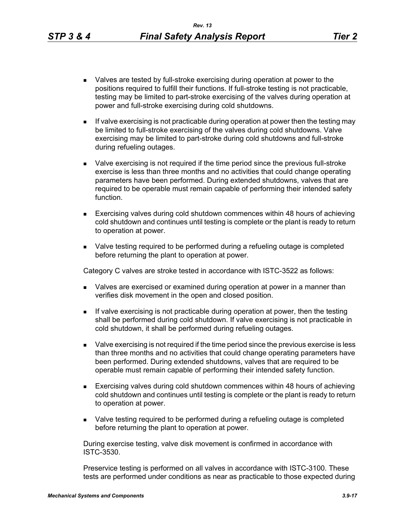- Valves are tested by full-stroke exercising during operation at power to the positions required to fulfill their functions. If full-stroke testing is not practicable, testing may be limited to part-stroke exercising of the valves during operation at power and full-stroke exercising during cold shutdowns.
- $\blacksquare$  If valve exercising is not practicable during operation at power then the testing may be limited to full-stroke exercising of the valves during cold shutdowns. Valve exercising may be limited to part-stroke during cold shutdowns and full-stroke during refueling outages.
- Valve exercising is not required if the time period since the previous full-stroke exercise is less than three months and no activities that could change operating parameters have been performed. During extended shutdowns, valves that are required to be operable must remain capable of performing their intended safety function.
- Exercising valves during cold shutdown commences within 48 hours of achieving cold shutdown and continues until testing is complete or the plant is ready to return to operation at power.
- **Nalve testing required to be performed during a refueling outage is completed** before returning the plant to operation at power.

Category C valves are stroke tested in accordance with ISTC-3522 as follows:

- **Nalves are exercised or examined during operation at power in a manner than** verifies disk movement in the open and closed position.
- If valve exercising is not practicable during operation at power, then the testing shall be performed during cold shutdown. If valve exercising is not practicable in cold shutdown, it shall be performed during refueling outages.
- Valve exercising is not required if the time period since the previous exercise is less than three months and no activities that could change operating parameters have been performed. During extended shutdowns, valves that are required to be operable must remain capable of performing their intended safety function.
- Exercising valves during cold shutdown commences within 48 hours of achieving cold shutdown and continues until testing is complete or the plant is ready to return to operation at power.
- Valve testing required to be performed during a refueling outage is completed before returning the plant to operation at power.

During exercise testing, valve disk movement is confirmed in accordance with ISTC-3530.

Preservice testing is performed on all valves in accordance with ISTC-3100. These tests are performed under conditions as near as practicable to those expected during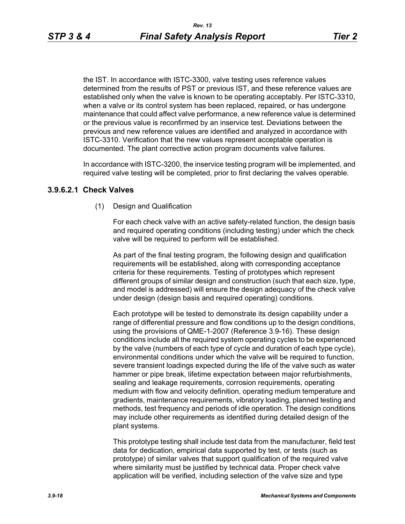the IST. In accordance with ISTC-3300, valve testing uses reference values determined from the results of PST or previous IST, and these reference values are established only when the valve is known to be operating acceptably. Per ISTC-3310, when a valve or its control system has been replaced, repaired, or has undergone maintenance that could affect valve performance, a new reference value is determined or the previous value is reconfirmed by an inservice test. Deviations between the previous and new reference values are identified and analyzed in accordance with ISTC-3310. Verification that the new values represent acceptable operation is documented. The plant corrective action program documents valve failures.

In accordance with ISTC-3200, the inservice testing program will be implemented, and required valve testing will be completed, prior to first declaring the valves operable.

## **3.9.6.2.1 Check Valves**

(1) Design and Qualification

For each check valve with an active safety-related function, the design basis and required operating conditions (including testing) under which the check valve will be required to perform will be established.

As part of the final testing program, the following design and qualification requirements will be established, along with corresponding acceptance criteria for these requirements. Testing of prototypes which represent different groups of similar design and construction (such that each size, type, and model is addressed) will ensure the design adequacy of the check valve under design (design basis and required operating) conditions.

Each prototype will be tested to demonstrate its design capability under a range of differential pressure and flow conditions up to the design conditions, using the provisions of QME-1-2007 (Reference 3.9-16). These design conditions include all the required system operating cycles to be experienced by the valve (numbers of each type of cycle and duration of each type cycle), environmental conditions under which the valve will be required to function, severe transient loadings expected during the life of the valve such as water hammer or pipe break, lifetime expectation between major refurbishments, sealing and leakage requirements, corrosion requirements, operating medium with flow and velocity definition, operating medium temperature and gradients, maintenance requirements, vibratory loading, planned testing and methods, test frequency and periods of idle operation. The design conditions may include other requirements as identified during detailed design of the plant systems.

This prototype testing shall include test data from the manufacturer, field test data for dedication, empirical data supported by test, or tests (such as prototype) of similar valves that support qualification of the required valve where similarity must be justified by technical data. Proper check valve application will be verified, including selection of the valve size and type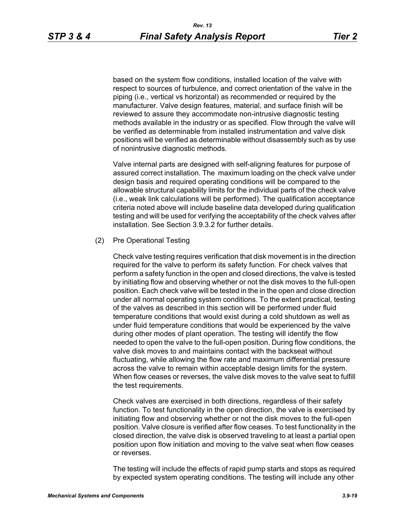based on the system flow conditions, installed location of the valve with respect to sources of turbulence, and correct orientation of the valve in the piping (i.e., vertical vs horizontal) as recommended or required by the manufacturer. Valve design features, material, and surface finish will be reviewed to assure they accommodate non-intrusive diagnostic testing methods available in the industry or as specified. Flow through the valve will be verified as determinable from installed instrumentation and valve disk positions will be verified as determinable without disassembly such as by use of nonintrusive diagnostic methods.

Valve internal parts are designed with self-aligning features for purpose of assured correct installation. The maximum loading on the check valve under design basis and required operating conditions will be compared to the allowable structural capability limits for the individual parts of the check valve (i.e., weak link calculations will be performed). The qualification acceptance criteria noted above will include baseline data developed during qualification testing and will be used for verifying the acceptability of the check valves after installation. See Section 3.9.3.2 for further details.

#### (2) Pre Operational Testing

Check valve testing requires verification that disk movement is in the direction required for the valve to perform its safety function. For check valves that perform a safety function in the open and closed directions, the valve is tested by initiating flow and observing whether or not the disk moves to the full-open position. Each check valve will be tested in the in the open and close direction under all normal operating system conditions. To the extent practical, testing of the valves as described in this section will be performed under fluid temperature conditions that would exist during a cold shutdown as well as under fluid temperature conditions that would be experienced by the valve during other modes of plant operation. The testing will identify the flow needed to open the valve to the full-open position. During flow conditions, the valve disk moves to and maintains contact with the backseat without fluctuating, while allowing the flow rate and maximum differential pressure across the valve to remain within acceptable design limits for the system. When flow ceases or reverses, the valve disk moves to the valve seat to fulfill the test requirements.

Check valves are exercised in both directions, regardless of their safety function. To test functionality in the open direction, the valve is exercised by initiating flow and observing whether or not the disk moves to the full-open position. Valve closure is verified after flow ceases. To test functionality in the closed direction, the valve disk is observed traveling to at least a partial open position upon flow initiation and moving to the valve seat when flow ceases or reverses.

The testing will include the effects of rapid pump starts and stops as required by expected system operating conditions. The testing will include any other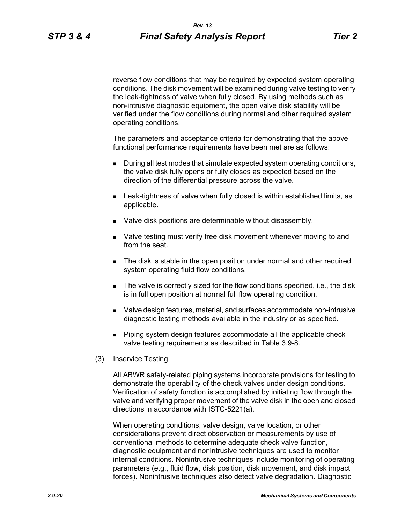reverse flow conditions that may be required by expected system operating conditions. The disk movement will be examined during valve testing to verify the leak-tightness of valve when fully closed. By using methods such as non-intrusive diagnostic equipment, the open valve disk stability will be verified under the flow conditions during normal and other required system operating conditions.

The parameters and acceptance criteria for demonstrating that the above functional performance requirements have been met are as follows:

- During all test modes that simulate expected system operating conditions, the valve disk fully opens or fully closes as expected based on the direction of the differential pressure across the valve.
- **EXECT** Leak-tightness of valve when fully closed is within established limits, as applicable.
- **Valve disk positions are determinable without disassembly.**
- Valve testing must verify free disk movement whenever moving to and from the seat.
- **The disk is stable in the open position under normal and other required** system operating fluid flow conditions.
- The valve is correctly sized for the flow conditions specified, i.e., the disk is in full open position at normal full flow operating condition.
- Valve design features, material, and surfaces accommodate non-intrusive diagnostic testing methods available in the industry or as specified.
- **Piping system design features accommodate all the applicable check** valve testing requirements as described in Table 3.9-8.
- (3) Inservice Testing

All ABWR safety-related piping systems incorporate provisions for testing to demonstrate the operability of the check valves under design conditions. Verification of safety function is accomplished by initiating flow through the valve and verifying proper movement of the valve disk in the open and closed directions in accordance with ISTC-5221(a).

When operating conditions, valve design, valve location, or other considerations prevent direct observation or measurements by use of conventional methods to determine adequate check valve function, diagnostic equipment and nonintrusive techniques are used to monitor internal conditions. Nonintrusive techniques include monitoring of operating parameters (e.g., fluid flow, disk position, disk movement, and disk impact forces). Nonintrusive techniques also detect valve degradation. Diagnostic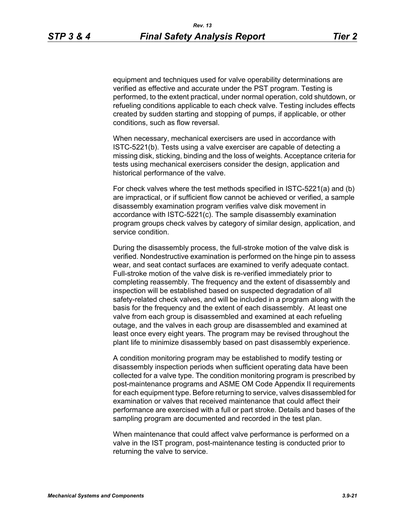equipment and techniques used for valve operability determinations are verified as effective and accurate under the PST program. Testing is performed, to the extent practical, under normal operation, cold shutdown, or refueling conditions applicable to each check valve. Testing includes effects created by sudden starting and stopping of pumps, if applicable, or other conditions, such as flow reversal.

When necessary, mechanical exercisers are used in accordance with ISTC-5221(b). Tests using a valve exerciser are capable of detecting a missing disk, sticking, binding and the loss of weights. Acceptance criteria for tests using mechanical exercisers consider the design, application and historical performance of the valve.

For check valves where the test methods specified in ISTC-5221(a) and (b) are impractical, or if sufficient flow cannot be achieved or verified, a sample disassembly examination program verifies valve disk movement in accordance with ISTC-5221(c). The sample disassembly examination program groups check valves by category of similar design, application, and service condition.

During the disassembly process, the full-stroke motion of the valve disk is verified. Nondestructive examination is performed on the hinge pin to assess wear, and seat contact surfaces are examined to verify adequate contact. Full-stroke motion of the valve disk is re-verified immediately prior to completing reassembly. The frequency and the extent of disassembly and inspection will be established based on suspected degradation of all safety-related check valves, and will be included in a program along with the basis for the frequency and the extent of each disassembly. At least one valve from each group is disassembled and examined at each refueling outage, and the valves in each group are disassembled and examined at least once every eight years. The program may be revised throughout the plant life to minimize disassembly based on past disassembly experience.

A condition monitoring program may be established to modify testing or disassembly inspection periods when sufficient operating data have been collected for a valve type. The condition monitoring program is prescribed by post-maintenance programs and ASME OM Code Appendix II requirements for each equipment type. Before returning to service, valves disassembled for examination or valves that received maintenance that could affect their performance are exercised with a full or part stroke. Details and bases of the sampling program are documented and recorded in the test plan.

When maintenance that could affect valve performance is performed on a valve in the IST program, post-maintenance testing is conducted prior to returning the valve to service.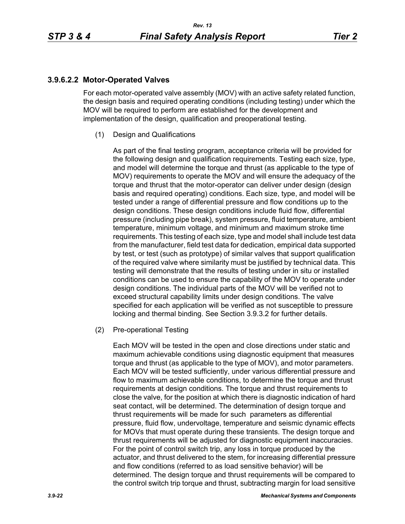## **3.9.6.2.2 Motor-Operated Valves**

For each motor-operated valve assembly (MOV) with an active safety related function, the design basis and required operating conditions (including testing) under which the MOV will be required to perform are established for the development and implementation of the design, qualification and preoperational testing.

(1) Design and Qualifications

As part of the final testing program, acceptance criteria will be provided for the following design and qualification requirements. Testing each size, type, and model will determine the torque and thrust (as applicable to the type of MOV) requirements to operate the MOV and will ensure the adequacy of the torque and thrust that the motor-operator can deliver under design (design basis and required operating) conditions. Each size, type, and model will be tested under a range of differential pressure and flow conditions up to the design conditions. These design conditions include fluid flow, differential pressure (including pipe break), system pressure, fluid temperature, ambient temperature, minimum voltage, and minimum and maximum stroke time requirements. This testing of each size, type and model shall include test data from the manufacturer, field test data for dedication, empirical data supported by test, or test (such as prototype) of similar valves that support qualification of the required valve where similarity must be justified by technical data. This testing will demonstrate that the results of testing under in situ or installed conditions can be used to ensure the capability of the MOV to operate under design conditions. The individual parts of the MOV will be verified not to exceed structural capability limits under design conditions. The valve specified for each application will be verified as not susceptible to pressure locking and thermal binding. See Section 3.9.3.2 for further details.

(2) Pre-operational Testing

Each MOV will be tested in the open and close directions under static and maximum achievable conditions using diagnostic equipment that measures torque and thrust (as applicable to the type of MOV), and motor parameters. Each MOV will be tested sufficiently, under various differential pressure and flow to maximum achievable conditions, to determine the torque and thrust requirements at design conditions. The torque and thrust requirements to close the valve, for the position at which there is diagnostic indication of hard seat contact, will be determined. The determination of design torque and thrust requirements will be made for such parameters as differential pressure, fluid flow, undervoltage, temperature and seismic dynamic effects for MOVs that must operate during these transients. The design torque and thrust requirements will be adjusted for diagnostic equipment inaccuracies. For the point of control switch trip, any loss in torque produced by the actuator, and thrust delivered to the stem, for increasing differential pressure and flow conditions (referred to as load sensitive behavior) will be determined. The design torque and thrust requirements will be compared to the control switch trip torque and thrust, subtracting margin for load sensitive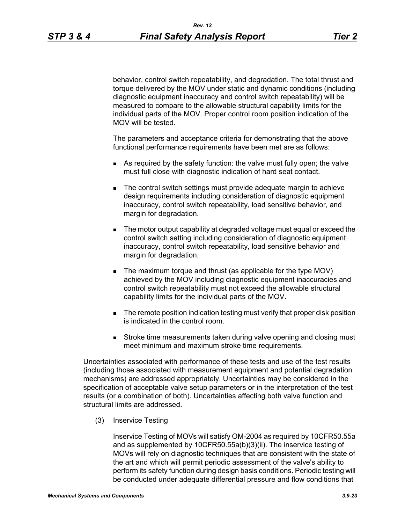behavior, control switch repeatability, and degradation. The total thrust and torque delivered by the MOV under static and dynamic conditions (including diagnostic equipment inaccuracy and control switch repeatability) will be measured to compare to the allowable structural capability limits for the individual parts of the MOV. Proper control room position indication of the MOV will be tested.

The parameters and acceptance criteria for demonstrating that the above functional performance requirements have been met are as follows:

- As required by the safety function: the valve must fully open; the valve must full close with diagnostic indication of hard seat contact.
- The control switch settings must provide adequate margin to achieve design requirements including consideration of diagnostic equipment inaccuracy, control switch repeatability, load sensitive behavior, and margin for degradation.
- The motor output capability at degraded voltage must equal or exceed the control switch setting including consideration of diagnostic equipment inaccuracy, control switch repeatability, load sensitive behavior and margin for degradation.
- The maximum torque and thrust (as applicable for the type MOV) achieved by the MOV including diagnostic equipment inaccuracies and control switch repeatability must not exceed the allowable structural capability limits for the individual parts of the MOV.
- **The remote position indication testing must verify that proper disk position** is indicated in the control room.
- **Stroke time measurements taken during valve opening and closing must** meet minimum and maximum stroke time requirements.

Uncertainties associated with performance of these tests and use of the test results (including those associated with measurement equipment and potential degradation mechanisms) are addressed appropriately. Uncertainties may be considered in the specification of acceptable valve setup parameters or in the interpretation of the test results (or a combination of both). Uncertainties affecting both valve function and structural limits are addressed.

(3) Inservice Testing

Inservice Testing of MOVs will satisfy OM-2004 as required by 10CFR50.55a and as supplemented by 10CFR50.55a(b)(3)(ii). The inservice testing of MOVs will rely on diagnostic techniques that are consistent with the state of the art and which will permit periodic assessment of the valve's ability to perform its safety function during design basis conditions. Periodic testing will be conducted under adequate differential pressure and flow conditions that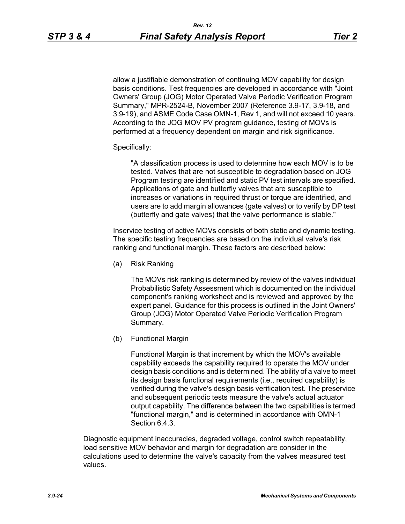allow a justifiable demonstration of continuing MOV capability for design basis conditions. Test frequencies are developed in accordance with "Joint Owners' Group (JOG) Motor Operated Valve Periodic Verification Program Summary," MPR-2524-B, November 2007 (Reference 3.9-17, 3.9-18, and 3.9-19), and ASME Code Case OMN-1, Rev 1, and will not exceed 10 years. According to the JOG MOV PV program guidance, testing of MOVs is performed at a frequency dependent on margin and risk significance.

#### Specifically:

"A classification process is used to determine how each MOV is to be tested. Valves that are not susceptible to degradation based on JOG Program testing are identified and static PV test intervals are specified. Applications of gate and butterfly valves that are susceptible to increases or variations in required thrust or torque are identified, and users are to add margin allowances (gate valves) or to verify by DP test (butterfly and gate valves) that the valve performance is stable."

Inservice testing of active MOVs consists of both static and dynamic testing. The specific testing frequencies are based on the individual valve's risk ranking and functional margin. These factors are described below:

(a) Risk Ranking

The MOVs risk ranking is determined by review of the valves individual Probabilistic Safety Assessment which is documented on the individual component's ranking worksheet and is reviewed and approved by the expert panel. Guidance for this process is outlined in the Joint Owners' Group (JOG) Motor Operated Valve Periodic Verification Program Summary.

(b) Functional Margin

Functional Margin is that increment by which the MOV's available capability exceeds the capability required to operate the MOV under design basis conditions and is determined. The ability of a valve to meet its design basis functional requirements (i.e., required capability) is verified during the valve's design basis verification test. The preservice and subsequent periodic tests measure the valve's actual actuator output capability. The difference between the two capabilities is termed "functional margin," and is determined in accordance with OMN-1 Section 6.4.3.

Diagnostic equipment inaccuracies, degraded voltage, control switch repeatability, load sensitive MOV behavior and margin for degradation are consider in the calculations used to determine the valve's capacity from the valves measured test values.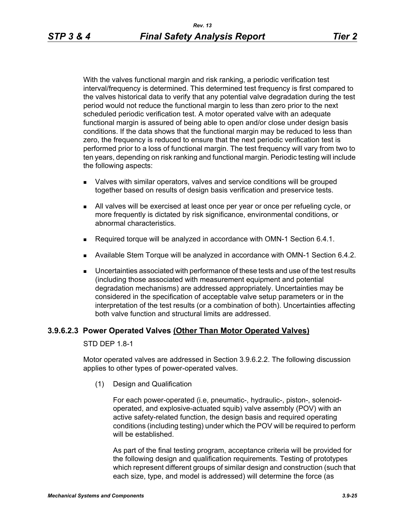With the valves functional margin and risk ranking, a periodic verification test interval/frequency is determined. This determined test frequency is first compared to the valves historical data to verify that any potential valve degradation during the test period would not reduce the functional margin to less than zero prior to the next scheduled periodic verification test. A motor operated valve with an adequate functional margin is assured of being able to open and/or close under design basis conditions. If the data shows that the functional margin may be reduced to less than zero, the frequency is reduced to ensure that the next periodic verification test is performed prior to a loss of functional margin. The test frequency will vary from two to ten years, depending on risk ranking and functional margin. Periodic testing will include the following aspects:

- Valves with similar operators, valves and service conditions will be grouped together based on results of design basis verification and preservice tests.
- All valves will be exercised at least once per year or once per refueling cycle, or more frequently is dictated by risk significance, environmental conditions, or abnormal characteristics.
- Required torque will be analyzed in accordance with OMN-1 Section 6.4.1.
- Available Stem Torque will be analyzed in accordance with OMN-1 Section 6.4.2.
- Uncertainties associated with performance of these tests and use of the test results (including those associated with measurement equipment and potential degradation mechanisms) are addressed appropriately. Uncertainties may be considered in the specification of acceptable valve setup parameters or in the interpretation of the test results (or a combination of both). Uncertainties affecting both valve function and structural limits are addressed.

### **3.9.6.2.3 Power Operated Valves (Other Than Motor Operated Valves)**

STD DEP 1.8-1

Motor operated valves are addressed in Section 3.9.6.2.2. The following discussion applies to other types of power-operated valves.

(1) Design and Qualification

For each power-operated (i.e, pneumatic-, hydraulic-, piston-, solenoidoperated, and explosive-actuated squib) valve assembly (POV) with an active safety-related function, the design basis and required operating conditions (including testing) under which the POV will be required to perform will be established.

As part of the final testing program, acceptance criteria will be provided for the following design and qualification requirements. Testing of prototypes which represent different groups of similar design and construction (such that each size, type, and model is addressed) will determine the force (as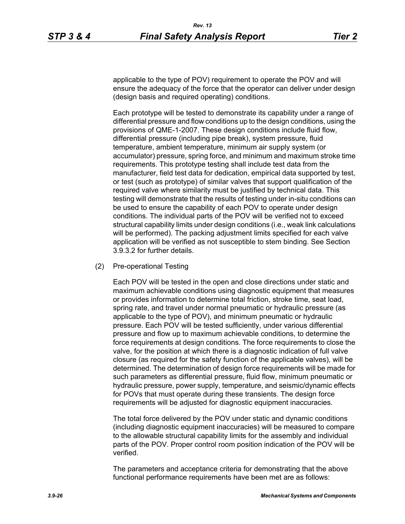applicable to the type of POV) requirement to operate the POV and will ensure the adequacy of the force that the operator can deliver under design (design basis and required operating) conditions.

Each prototype will be tested to demonstrate its capability under a range of differential pressure and flow conditions up to the design conditions, using the provisions of QME-1-2007. These design conditions include fluid flow, differential pressure (including pipe break), system pressure, fluid temperature, ambient temperature, minimum air supply system (or accumulator) pressure, spring force, and minimum and maximum stroke time requirements. This prototype testing shall include test data from the manufacturer, field test data for dedication, empirical data supported by test, or test (such as prototype) of similar valves that support qualification of the required valve where similarity must be justified by technical data. This testing will demonstrate that the results of testing under in-situ conditions can be used to ensure the capability of each POV to operate under design conditions. The individual parts of the POV will be verified not to exceed structural capability limits under design conditions (i.e., weak link calculations will be performed). The packing adjustment limits specified for each valve application will be verified as not susceptible to stem binding. See Section 3.9.3.2 for further details.

(2) Pre-operational Testing

Each POV will be tested in the open and close directions under static and maximum achievable conditions using diagnostic equipment that measures or provides information to determine total friction, stroke time, seat load, spring rate, and travel under normal pneumatic or hydraulic pressure (as applicable to the type of POV), and minimum pneumatic or hydraulic pressure. Each POV will be tested sufficiently, under various differential pressure and flow up to maximum achievable conditions, to determine the force requirements at design conditions. The force requirements to close the valve, for the position at which there is a diagnostic indication of full valve closure (as required for the safety function of the applicable valves), will be determined. The determination of design force requirements will be made for such parameters as differential pressure, fluid flow, minimum pneumatic or hydraulic pressure, power supply, temperature, and seismic/dynamic effects for POVs that must operate during these transients. The design force requirements will be adjusted for diagnostic equipment inaccuracies.

The total force delivered by the POV under static and dynamic conditions (including diagnostic equipment inaccuracies) will be measured to compare to the allowable structural capability limits for the assembly and individual parts of the POV. Proper control room position indication of the POV will be verified.

The parameters and acceptance criteria for demonstrating that the above functional performance requirements have been met are as follows: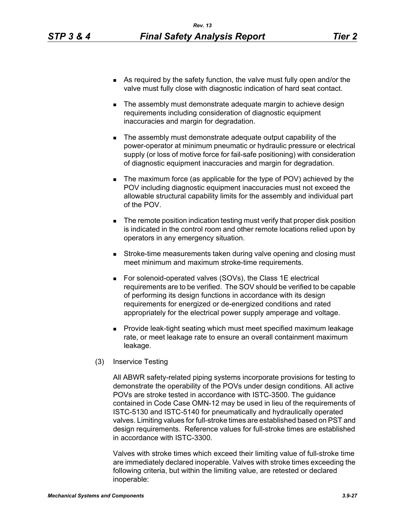- As required by the safety function, the valve must fully open and/or the valve must fully close with diagnostic indication of hard seat contact.
- The assembly must demonstrate adequate margin to achieve design requirements including consideration of diagnostic equipment inaccuracies and margin for degradation.
- The assembly must demonstrate adequate output capability of the power-operator at minimum pneumatic or hydraulic pressure or electrical supply (or loss of motive force for fail-safe positioning) with consideration of diagnostic equipment inaccuracies and margin for degradation.
- The maximum force (as applicable for the type of POV) achieved by the POV including diagnostic equipment inaccuracies must not exceed the allowable structural capability limits for the assembly and individual part of the POV.
- **The remote position indication testing must verify that proper disk position** is indicated in the control room and other remote locations relied upon by operators in any emergency situation.
- **Stroke-time measurements taken during valve opening and closing must** meet minimum and maximum stroke-time requirements.
- For solenoid-operated valves (SOVs), the Class 1E electrical requirements are to be verified. The SOV should be verified to be capable of performing its design functions in accordance with its design requirements for energized or de-energized conditions and rated appropriately for the electrical power supply amperage and voltage.
- **Provide leak-tight seating which must meet specified maximum leakage** rate, or meet leakage rate to ensure an overall containment maximum leakage.
- (3) Inservice Testing

All ABWR safety-related piping systems incorporate provisions for testing to demonstrate the operability of the POVs under design conditions. All active POVs are stroke tested in accordance with ISTC-3500. The guidance contained in Code Case OMN-12 may be used in lieu of the requirements of ISTC-5130 and ISTC-5140 for pneumatically and hydraulically operated valves. Limiting values for full-stroke times are established based on PST and design requirements. Reference values for full-stroke times are established in accordance with ISTC-3300.

Valves with stroke times which exceed their limiting value of full-stroke time are immediately declared inoperable. Valves with stroke times exceeding the following criteria, but within the limiting value, are retested or declared inoperable: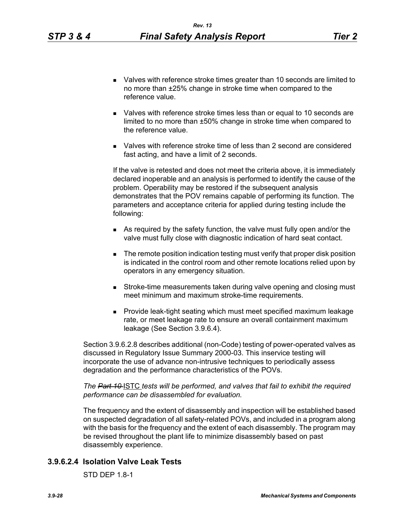- Valves with reference stroke times greater than 10 seconds are limited to no more than ±25% change in stroke time when compared to the reference value.
- Valves with reference stroke times less than or equal to 10 seconds are limited to no more than ±50% change in stroke time when compared to the reference value.
- Valves with reference stroke time of less than 2 second are considered fast acting, and have a limit of 2 seconds.

If the valve is retested and does not meet the criteria above, it is immediately declared inoperable and an analysis is performed to identify the cause of the problem. Operability may be restored if the subsequent analysis demonstrates that the POV remains capable of performing its function. The parameters and acceptance criteria for applied during testing include the following:

- As required by the safety function, the valve must fully open and/or the valve must fully close with diagnostic indication of hard seat contact.
- **The remote position indication testing must verify that proper disk position** is indicated in the control room and other remote locations relied upon by operators in any emergency situation.
- **Stroke-time measurements taken during valve opening and closing must** meet minimum and maximum stroke-time requirements.
- **Provide leak-tight seating which must meet specified maximum leakage** rate, or meet leakage rate to ensure an overall containment maximum leakage (See Section 3.9.6.4).

Section 3.9.6.2.8 describes additional (non-Code) testing of power-operated valves as discussed in Regulatory Issue Summary 2000-03. This inservice testing will incorporate the use of advance non-intrusive techniques to periodically assess degradation and the performance characteristics of the POVs.

*The Part 10* ISTC *tests will be performed, and valves that fail to exhibit the required performance can be disassembled for evaluation.* 

The frequency and the extent of disassembly and inspection will be established based on suspected degradation of all safety-related POVs, and included in a program along with the basis for the frequency and the extent of each disassembly. The program may be revised throughout the plant life to minimize disassembly based on past disassembly experience.

# **3.9.6.2.4 Isolation Valve Leak Tests**

STD DEP 1.8-1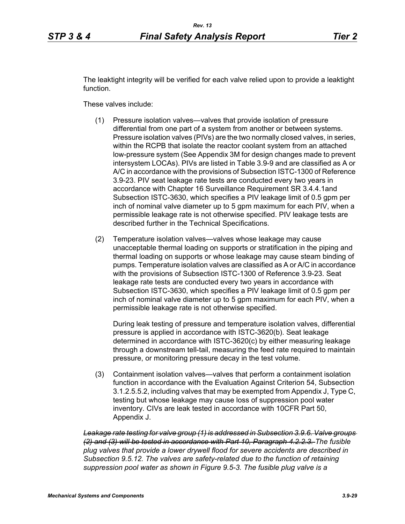The leaktight integrity will be verified for each valve relied upon to provide a leaktight function.

These valves include:

- (1) Pressure isolation valves—valves that provide isolation of pressure differential from one part of a system from another or between systems. Pressure isolation valves (PIVs) are the two normally closed valves, in series, within the RCPB that isolate the reactor coolant system from an attached low-pressure system (See Appendix 3M for design changes made to prevent intersystem LOCAs). PIVs are listed in Table 3.9-9 and are classified as A or A/C in accordance with the provisions of Subsection ISTC-1300 of Reference 3.9-23. PIV seat leakage rate tests are conducted every two years in accordance with Chapter 16 Surveillance Requirement SR 3.4.4.1and Subsection ISTC-3630, which specifies a PIV leakage limit of 0.5 gpm per inch of nominal valve diameter up to 5 gpm maximum for each PIV, when a permissible leakage rate is not otherwise specified. PIV leakage tests are described further in the Technical Specifications.
- (2) Temperature isolation valves—valves whose leakage may cause unacceptable thermal loading on supports or stratification in the piping and thermal loading on supports or whose leakage may cause steam binding of pumps. Temperature isolation valves are classified as A or A/C in accordance with the provisions of Subsection ISTC-1300 of Reference 3.9-23. Seat leakage rate tests are conducted every two years in accordance with Subsection ISTC-3630, which specifies a PIV leakage limit of 0.5 gpm per inch of nominal valve diameter up to 5 gpm maximum for each PIV, when a permissible leakage rate is not otherwise specified.

During leak testing of pressure and temperature isolation valves, differential pressure is applied in accordance with ISTC-3620(b). Seat leakage determined in accordance with ISTC-3620(c) by either measuring leakage through a downstream tell-tail, measuring the feed rate required to maintain pressure, or monitoring pressure decay in the test volume.

(3) Containment isolation valves—valves that perform a containment isolation function in accordance with the Evaluation Against Criterion 54, Subsection 3.1.2.5.5.2, including valves that may be exempted from Appendix J, Type C, testing but whose leakage may cause loss of suppression pool water inventory. CIVs are leak tested in accordance with 10CFR Part 50, Appendix J.

*Leakage rate testing for valve group (1) is addressed in Subsection 3.9.6. Valve groups (2) and (3) will be tested in accordance with Part 10, Paragraph 4.2.2.3. The fusible plug valves that provide a lower drywell flood for severe accidents are described in Subsection 9.5.12. The valves are safety-related due to the function of retaining suppression pool water as shown in Figure 9.5-3. The fusible plug valve is a*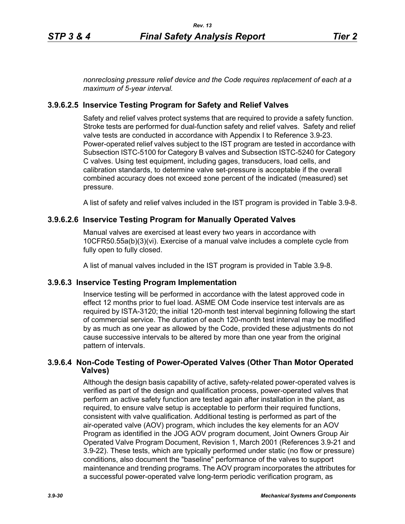*nonreclosing pressure relief device and the Code requires replacement of each at a maximum of 5-year interval.*

## **3.9.6.2.5 Inservice Testing Program for Safety and Relief Valves**

Safety and relief valves protect systems that are required to provide a safety function. Stroke tests are performed for dual-function safety and relief valves. Safety and relief valve tests are conducted in accordance with Appendix I to Reference 3.9-23. Power-operated relief valves subject to the IST program are tested in accordance with Subsection ISTC-5100 for Category B valves and Subsection ISTC-5240 for Category C valves. Using test equipment, including gages, transducers, load cells, and calibration standards, to determine valve set-pressure is acceptable if the overall combined accuracy does not exceed ±one percent of the indicated (measured) set pressure.

A list of safety and relief valves included in the IST program is provided in Table 3.9-8.

## **3.9.6.2.6 Inservice Testing Program for Manually Operated Valves**

Manual valves are exercised at least every two years in accordance with 10CFR50.55a(b)(3)(vi). Exercise of a manual valve includes a complete cycle from fully open to fully closed.

A list of manual valves included in the IST program is provided in Table 3.9-8.

### **3.9.6.3 Inservice Testing Program Implementation**

Inservice testing will be performed in accordance with the latest approved code in effect 12 months prior to fuel load. ASME OM Code inservice test intervals are as required by ISTA-3120; the initial 120-month test interval beginning following the start of commercial service. The duration of each 120-month test interval may be modified by as much as one year as allowed by the Code, provided these adjustments do not cause successive intervals to be altered by more than one year from the original pattern of intervals.

## **3.9.6.4 Non-Code Testing of Power-Operated Valves (Other Than Motor Operated Valves)**

Although the design basis capability of active, safety-related power-operated valves is verified as part of the design and qualification process, power-operated valves that perform an active safety function are tested again after installation in the plant, as required, to ensure valve setup is acceptable to perform their required functions, consistent with valve qualification. Additional testing is performed as part of the air-operated valve (AOV) program, which includes the key elements for an AOV Program as identified in the JOG AOV program document, Joint Owners Group Air Operated Valve Program Document, Revision 1, March 2001 (References 3.9-21 and 3.9-22). These tests, which are typically performed under static (no flow or pressure) conditions, also document the "baseline" performance of the valves to support maintenance and trending programs. The AOV program incorporates the attributes for a successful power-operated valve long-term periodic verification program, as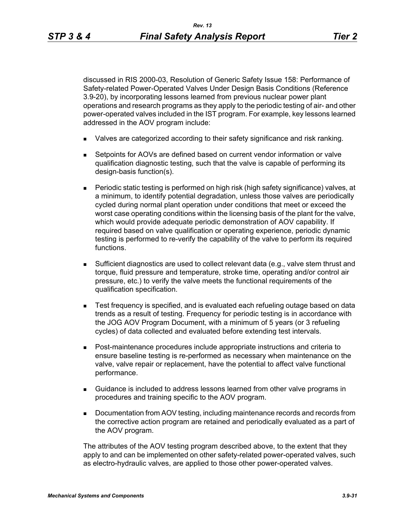discussed in RIS 2000-03, Resolution of Generic Safety Issue 158: Performance of Safety-related Power-Operated Valves Under Design Basis Conditions (Reference 3.9-20), by incorporating lessons learned from previous nuclear power plant operations and research programs as they apply to the periodic testing of air- and other power-operated valves included in the IST program. For example, key lessons learned addressed in the AOV program include:

- I Valves are categorized according to their safety significance and risk ranking.
- Setpoints for AOVs are defined based on current vendor information or valve qualification diagnostic testing, such that the valve is capable of performing its design-basis function(s).
- Periodic static testing is performed on high risk (high safety significance) valves, at a minimum, to identify potential degradation, unless those valves are periodically cycled during normal plant operation under conditions that meet or exceed the worst case operating conditions within the licensing basis of the plant for the valve, which would provide adequate periodic demonstration of AOV capability. If required based on valve qualification or operating experience, periodic dynamic testing is performed to re-verify the capability of the valve to perform its required functions.
- Sufficient diagnostics are used to collect relevant data (e.g., valve stem thrust and torque, fluid pressure and temperature, stroke time, operating and/or control air pressure, etc.) to verify the valve meets the functional requirements of the qualification specification.
- **Test frequency is specified, and is evaluated each refueling outage based on data** trends as a result of testing. Frequency for periodic testing is in accordance with the JOG AOV Program Document, with a minimum of 5 years (or 3 refueling cycles) of data collected and evaluated before extending test intervals.
- Post-maintenance procedures include appropriate instructions and criteria to ensure baseline testing is re-performed as necessary when maintenance on the valve, valve repair or replacement, have the potential to affect valve functional performance.
- Guidance is included to address lessons learned from other valve programs in procedures and training specific to the AOV program.
- **Documentation from AOV testing, including maintenance records and records from** the corrective action program are retained and periodically evaluated as a part of the AOV program.

The attributes of the AOV testing program described above, to the extent that they apply to and can be implemented on other safety-related power-operated valves, such as electro-hydraulic valves, are applied to those other power-operated valves.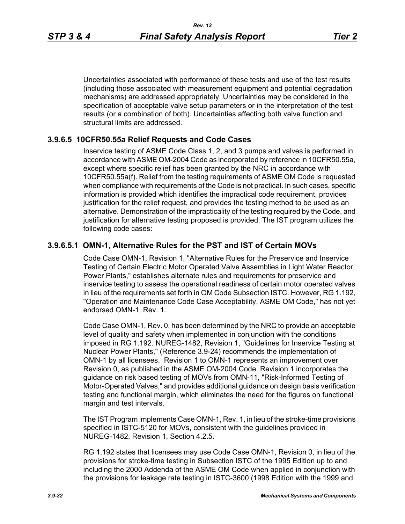Uncertainties associated with performance of these tests and use of the test results (including those associated with measurement equipment and potential degradation mechanisms) are addressed appropriately. Uncertainties may be considered in the specification of acceptable valve setup parameters or in the interpretation of the test results (or a combination of both). Uncertainties affecting both valve function and structural limits are addressed.

## **3.9.6.5 10CFR50.55a Relief Requests and Code Cases**

Inservice testing of ASME Code Class 1, 2, and 3 pumps and valves is performed in accordance with ASME OM-2004 Code as incorporated by reference in 10CFR50.55a, except where specific relief has been granted by the NRC in accordance with 10CFR50.55a(f). Relief from the testing requirements of ASME OM Code is requested when compliance with requirements of the Code is not practical. In such cases, specific information is provided which identifies the impractical code requirement, provides justification for the relief request, and provides the testing method to be used as an alternative. Demonstration of the impracticality of the testing required by the Code, and justification for alternative testing proposed is provided. The IST program utilizes the following code cases:

# **3.9.6.5.1 OMN-1, Alternative Rules for the PST and IST of Certain MOVs**

Code Case OMN-1, Revision 1, "Alternative Rules for the Preservice and Inservice Testing of Certain Electric Motor Operated Valve Assemblies in Light Water Reactor Power Plants," establishes alternate rules and requirements for preservice and inservice testing to assess the operational readiness of certain motor operated valves in lieu of the requirements set forth in OM Code Subsection ISTC. However, RG 1.192, "Operation and Maintenance Code Case Acceptability, ASME OM Code," has not yet endorsed OMN-1, Rev. 1.

Code Case OMN-1, Rev. 0, has been determined by the NRC to provide an acceptable level of quality and safety when implemented in conjunction with the conditions imposed in RG 1.192. NUREG-1482, Revision 1, "Guidelines for Inservice Testing at Nuclear Power Plants," (Reference 3.9-24) recommends the implementation of OMN-1 by all licensees. Revision 1 to OMN-1 represents an improvement over Revision 0, as published in the ASME OM-2004 Code. Revision 1 incorporates the guidance on risk based testing of MOVs from OMN-11, "Risk-Informed Testing of Motor-Operated Valves," and provides additional guidance on design basis verification testing and functional margin, which eliminates the need for the figures on functional margin and test intervals.

The IST Program implements Case OMN-1, Rev. 1, in lieu of the stroke-time provisions specified in ISTC-5120 for MOVs, consistent with the guidelines provided in NUREG-1482, Revision 1, Section 4.2.5.

RG 1.192 states that licensees may use Code Case OMN-1, Revision 0, in lieu of the provisions for stroke-time testing in Subsection ISTC of the 1995 Edition up to and including the 2000 Addenda of the ASME OM Code when applied in conjunction with the provisions for leakage rate testing in ISTC-3600 (1998 Edition with the 1999 and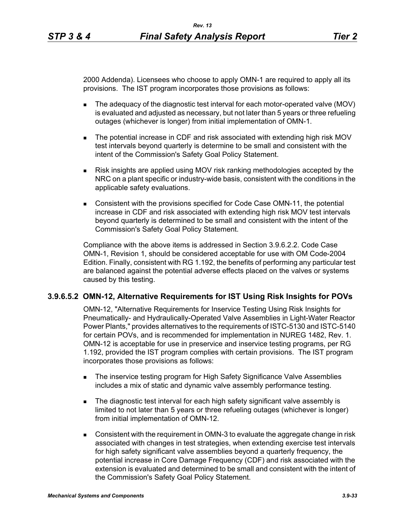2000 Addenda). Licensees who choose to apply OMN-1 are required to apply all its provisions. The IST program incorporates those provisions as follows:

- The adequacy of the diagnostic test interval for each motor-operated valve (MOV) is evaluated and adjusted as necessary, but not later than 5 years or three refueling outages (whichever is longer) from initial implementation of OMN-1.
- The potential increase in CDF and risk associated with extending high risk MOV test intervals beyond quarterly is determine to be small and consistent with the intent of the Commission's Safety Goal Policy Statement.
- Risk insights are applied using MOV risk ranking methodologies accepted by the NRC on a plant specific or industry-wide basis, consistent with the conditions in the applicable safety evaluations.
- **Consistent with the provisions specified for Code Case OMN-11, the potential** increase in CDF and risk associated with extending high risk MOV test intervals beyond quarterly is determined to be small and consistent with the intent of the Commission's Safety Goal Policy Statement.

Compliance with the above items is addressed in Section 3.9.6.2.2. Code Case OMN-1, Revision 1, should be considered acceptable for use with OM Code-2004 Edition. Finally, consistent with RG 1.192, the benefits of performing any particular test are balanced against the potential adverse effects placed on the valves or systems caused by this testing.

# **3.9.6.5.2 OMN-12, Alternative Requirements for IST Using Risk Insights for POVs**

OMN-12, "Alternative Requirements for Inservice Testing Using Risk Insights for Pneumatically- and Hydraulically-Operated Valve Assemblies in Light-Water Reactor Power Plants," provides alternatives to the requirements of ISTC-5130 and ISTC-5140 for certain POVs, and is recommended for implementation in NUREG 1482, Rev. 1. OMN-12 is acceptable for use in preservice and inservice testing programs, per RG 1.192, provided the IST program complies with certain provisions. The IST program incorporates those provisions as follows:

- **The inservice testing program for High Safety Significance Valve Assemblies** includes a mix of static and dynamic valve assembly performance testing.
- The diagnostic test interval for each high safety significant valve assembly is limited to not later than 5 years or three refueling outages (whichever is longer) from initial implementation of OMN-12.
- Consistent with the requirement in OMN-3 to evaluate the aggregate change in risk associated with changes in test strategies, when extending exercise test intervals for high safety significant valve assemblies beyond a quarterly frequency, the potential increase in Core Damage Frequency (CDF) and risk associated with the extension is evaluated and determined to be small and consistent with the intent of the Commission's Safety Goal Policy Statement.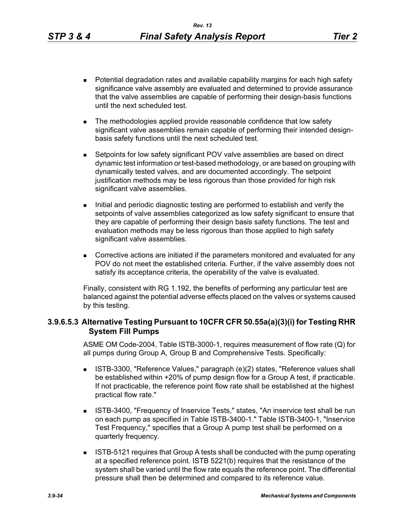- **Potential degradation rates and available capability margins for each high safety** significance valve assembly are evaluated and determined to provide assurance that the valve assemblies are capable of performing their design-basis functions until the next scheduled test.
- The methodologies applied provide reasonable confidence that low safety significant valve assemblies remain capable of performing their intended designbasis safety functions until the next scheduled test.
- Setpoints for low safety significant POV valve assemblies are based on direct dynamic test information or test-based methodology, or are based on grouping with dynamically tested valves, and are documented accordingly. The setpoint justification methods may be less rigorous than those provided for high risk significant valve assemblies.
- Initial and periodic diagnostic testing are performed to establish and verify the setpoints of valve assemblies categorized as low safety significant to ensure that they are capable of performing their design basis safety functions. The test and evaluation methods may be less rigorous than those applied to high safety significant valve assemblies.
- Corrective actions are initiated if the parameters monitored and evaluated for any POV do not meet the established criteria. Further, if the valve assembly does not satisfy its acceptance criteria, the operability of the valve is evaluated.

Finally, consistent with RG 1.192, the benefits of performing any particular test are balanced against the potential adverse effects placed on the valves or systems caused by this testing.

## **3.9.6.5.3 Alternative Testing Pursuant to 10CFR CFR 50.55a(a)(3)(i) for Testing RHR System Fill Pumps**

ASME OM Code-2004, Table ISTB-3000-1, requires measurement of flow rate (Q) for all pumps during Group A, Group B and Comprehensive Tests. Specifically:

- ISTB-3300, "Reference Values," paragraph (e)(2) states, "Reference values shall be established within +20% of pump design flow for a Group A test, if practicable. If not practicable, the reference point flow rate shall be established at the highest practical flow rate."
- **ISTB-3400, "Frequency of Inservice Tests," states, "An inservice test shall be run** on each pump as specified in Table ISTB-3400-1." Table ISTB-3400-1, "Inservice Test Frequency," specifies that a Group A pump test shall be performed on a quarterly frequency.
- **ISTB-5121 requires that Group A tests shall be conducted with the pump operating** at a specified reference point. ISTB 5221(b) requires that the resistance of the system shall be varied until the flow rate equals the reference point. The differential pressure shall then be determined and compared to its reference value.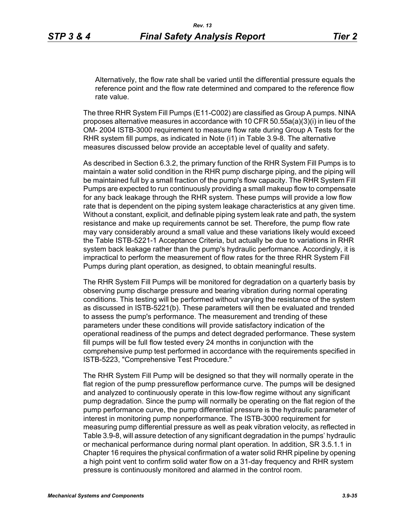Alternatively, the flow rate shall be varied until the differential pressure equals the reference point and the flow rate determined and compared to the reference flow rate value.

The three RHR System Fill Pumps (E11-C002) are classified as Group A pumps. NINA proposes alternative measures in accordance with 10 CFR 50.55a(a)(3)(i) in lieu of the OM- 2004 ISTB-3000 requirement to measure flow rate during Group A Tests for the RHR system fill pumps, as indicated in Note (i1) in Table 3.9-8. The alternative measures discussed below provide an acceptable level of quality and safety.

As described in Section 6.3.2, the primary function of the RHR System Fill Pumps is to maintain a water solid condition in the RHR pump discharge piping, and the piping will be maintained full by a small fraction of the pump's flow capacity. The RHR System Fill Pumps are expected to run continuously providing a small makeup flow to compensate for any back leakage through the RHR system. These pumps will provide a low flow rate that is dependent on the piping system leakage characteristics at any given time. Without a constant, explicit, and definable piping system leak rate and path, the system resistance and make up requirements cannot be set. Therefore, the pump flow rate may vary considerably around a small value and these variations likely would exceed the Table ISTB-5221-1 Acceptance Criteria, but actually be due to variations in RHR system back leakage rather than the pump's hydraulic performance. Accordingly, it is impractical to perform the measurement of flow rates for the three RHR System Fill Pumps during plant operation, as designed, to obtain meaningful results.

The RHR System Fill Pumps will be monitored for degradation on a quarterly basis by observing pump discharge pressure and bearing vibration during normal operating conditions. This testing will be performed without varying the resistance of the system as discussed in ISTB-5221(b). These parameters will then be evaluated and trended to assess the pump's performance. The measurement and trending of these parameters under these conditions will provide satisfactory indication of the operational readiness of the pumps and detect degraded performance. These system fill pumps will be full flow tested every 24 months in conjunction with the comprehensive pump test performed in accordance with the requirements specified in ISTB-5223, "Comprehensive Test Procedure."

The RHR System Fill Pump will be designed so that they will normally operate in the flat region of the pump pressureflow performance curve. The pumps will be designed and analyzed to continuously operate in this low-flow regime without any significant pump degradation. Since the pump will normally be operating on the flat region of the pump performance curve, the pump differential pressure is the hydraulic parameter of interest in monitoring pump nonperformance. The ISTB-3000 requirement for measuring pump differential pressure as well as peak vibration velocity, as reflected in Table 3.9-8, will assure detection of any significant degradation in the pumps' hydraulic or mechanical performance during normal plant operation. In addition, SR 3.5.1.1 in Chapter 16 requires the physical confirmation of a water solid RHR pipeline by opening a high point vent to confirm solid water flow on a 31-day frequency and RHR system pressure is continuously monitored and alarmed in the control room.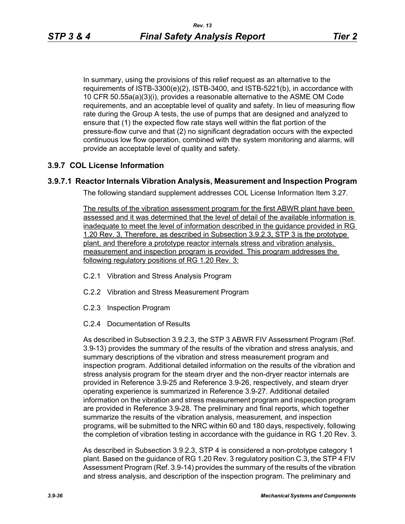In summary, using the provisions of this relief request as an alternative to the requirements of ISTB-3300(e)(2), ISTB-3400, and ISTB-5221(b), in accordance with 10 CFR 50.55a(a)(3)(i), provides a reasonable alternative to the ASME OM Code requirements, and an acceptable level of quality and safety. In lieu of measuring flow rate during the Group A tests, the use of pumps that are designed and analyzed to ensure that (1) the expected flow rate stays well within the flat portion of the pressure-flow curve and that (2) no significant degradation occurs with the expected continuous low flow operation, combined with the system monitoring and alarms, will provide an acceptable level of quality and safety.

# **3.9.7 COL License Information**

# **3.9.7.1 Reactor Internals Vibration Analysis, Measurement and Inspection Program**

The following standard supplement addresses COL License Information Item 3.27.

The results of the vibration assessment program for the first ABWR plant have been assessed and it was determined that the level of detail of the available information is inadequate to meet the level of information described in the guidance provided in RG 1.20 Rev. 3. Therefore, as described in Subsection 3.9.2.3, STP 3 is the prototype plant, and therefore a prototype reactor internals stress and vibration analysis, measurement and inspection program is provided. This program addresses the following regulatory positions of RG 1.20 Rev. 3:

- C.2.1 Vibration and Stress Analysis Program
- C.2.2 Vibration and Stress Measurement Program
- C.2.3 Inspection Program
- C.2.4 Documentation of Results

As described in Subsection 3.9.2.3, the STP 3 ABWR FIV Assessment Program (Ref. 3.9-13) provides the summary of the results of the vibration and stress analysis, and summary descriptions of the vibration and stress measurement program and inspection program. Additional detailed information on the results of the vibration and stress analysis program for the steam dryer and the non-dryer reactor internals are provided in Reference 3.9-25 and Reference 3.9-26, respectively, and steam dryer operating experience is summarized in Reference 3.9-27. Additional detailed information on the vibration and stress measurement program and inspection program are provided in Reference 3.9-28. The preliminary and final reports, which together summarize the results of the vibration analysis, measurement, and inspection programs, will be submitted to the NRC within 60 and 180 days, respectively, following the completion of vibration testing in accordance with the guidance in RG 1.20 Rev. 3.

As described in Subsection 3.9.2.3, STP 4 is considered a non-prototype category 1 plant. Based on the guidance of RG 1.20 Rev. 3 regulatory position C.3, the STP 4 FIV Assessment Program (Ref. 3.9-14) provides the summary of the results of the vibration and stress analysis, and description of the inspection program. The preliminary and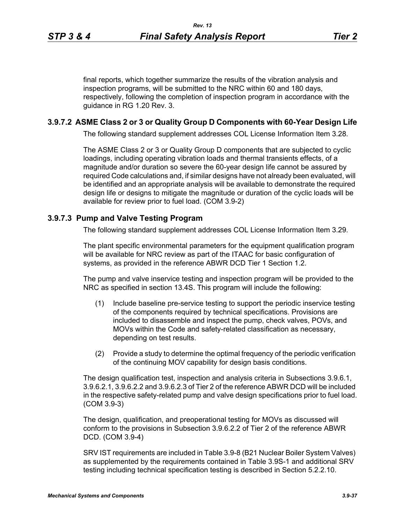final reports, which together summarize the results of the vibration analysis and inspection programs, will be submitted to the NRC within 60 and 180 days, respectively, following the completion of inspection program in accordance with the guidance in RG 1.20 Rev. 3.

### **3.9.7.2 ASME Class 2 or 3 or Quality Group D Components with 60-Year Design Life**

The following standard supplement addresses COL License Information Item 3.28.

The ASME Class 2 or 3 or Quality Group D components that are subjected to cyclic loadings, including operating vibration loads and thermal transients effects, of a magnitude and/or duration so severe the 60-year design life cannot be assured by required Code calculations and, if similar designs have not already been evaluated, will be identified and an appropriate analysis will be available to demonstrate the required design life or designs to mitigate the magnitude or duration of the cyclic loads will be available for review prior to fuel load. (COM 3.9-2)

### **3.9.7.3 Pump and Valve Testing Program**

The following standard supplement addresses COL License Information Item 3.29.

The plant specific environmental parameters for the equipment qualification program will be available for NRC review as part of the ITAAC for basic configuration of systems, as provided in the reference ABWR DCD Tier 1 Section 1.2.

The pump and valve inservice testing and inspection program will be provided to the NRC as specified in section 13.4S. This program will include the following:

- (1) Include baseline pre-service testing to support the periodic inservice testing of the components required by technical specifications. Provisions are included to disassemble and inspect the pump, check valves, POVs, and MOVs within the Code and safety-related classification as necessary, depending on test results.
- (2) Provide a study to determine the optimal frequency of the periodic verification of the continuing MOV capability for design basis conditions.

The design qualification test, inspection and analysis criteria in Subsections 3.9.6.1, 3.9.6.2.1, 3.9.6.2.2 and 3.9.6.2.3 of Tier 2 of the reference ABWR DCD will be included in the respective safety-related pump and valve design specifications prior to fuel load. (COM 3.9-3)

The design, qualification, and preoperational testing for MOVs as discussed will conform to the provisions in Subsection 3.9.6.2.2 of Tier 2 of the reference ABWR DCD. (COM 3.9-4)

SRV IST requirements are included in Table 3.9-8 (B21 Nuclear Boiler System Valves) as supplemented by the requirements contained in Table 3.9S-1 and additional SRV testing including technical specification testing is described in Section 5.2.2.10.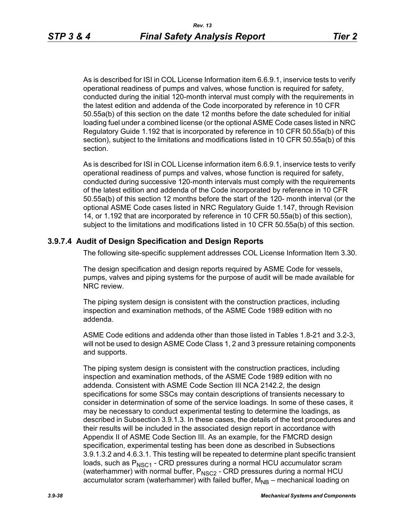As is described for ISI in COL License Information item 6.6.9.1, inservice tests to verify operational readiness of pumps and valves, whose function is required for safety, conducted during the initial 120-month interval must comply with the requirements in the latest edition and addenda of the Code incorporated by reference in 10 CFR 50.55a(b) of this section on the date 12 months before the date scheduled for initial loading fuel under a combined license (or the optional ASME Code cases listed in NRC Regulatory Guide 1.192 that is incorporated by reference in 10 CFR 50.55a(b) of this section), subject to the limitations and modifications listed in 10 CFR 50.55a(b) of this section.

As is described for ISI in COL License information item 6.6.9.1, inservice tests to verify operational readiness of pumps and valves, whose function is required for safety, conducted during successive 120-month intervals must comply with the requirements of the latest edition and addenda of the Code incorporated by reference in 10 CFR 50.55a(b) of this section 12 months before the start of the 120- month interval (or the optional ASME Code cases listed in NRC Regulatory Guide 1.147, through Revision 14, or 1.192 that are incorporated by reference in 10 CFR 50.55a(b) of this section), subject to the limitations and modifications listed in 10 CFR 50.55a(b) of this section.

## **3.9.7.4 Audit of Design Specification and Design Reports**

The following site-specific supplement addresses COL License Information Item 3.30.

The design specification and design reports required by ASME Code for vessels, pumps, valves and piping systems for the purpose of audit will be made available for NRC review.

The piping system design is consistent with the construction practices, including inspection and examination methods, of the ASME Code 1989 edition with no addenda.

ASME Code editions and addenda other than those listed in Tables 1.8-21 and 3.2-3, will not be used to design ASME Code Class 1, 2 and 3 pressure retaining components and supports.

The piping system design is consistent with the construction practices, including inspection and examination methods, of the ASME Code 1989 edition with no addenda. Consistent with ASME Code Section III NCA 2142.2, the design specifications for some SSCs may contain descriptions of transients necessary to consider in determination of some of the service loadings. In some of these cases, it may be necessary to conduct experimental testing to determine the loadings, as described in Subsection 3.9.1.3. In these cases, the details of the test procedures and their results will be included in the associated design report in accordance with Appendix II of ASME Code Section III. As an example, for the FMCRD design specification, experimental testing has been done as described in Subsections 3.9.1.3.2 and 4.6.3.1. This testing will be repeated to determine plant specific transient loads, such as  $P_{NSC1}$  - CRD pressures during a normal HCU accumulator scram (waterhammer) with normal buffer,  $P_{NSC2}$  - CRD pressures during a normal HCU accumulator scram (waterhammer) with failed buffer,  $M_{\text{NB}}$  – mechanical loading on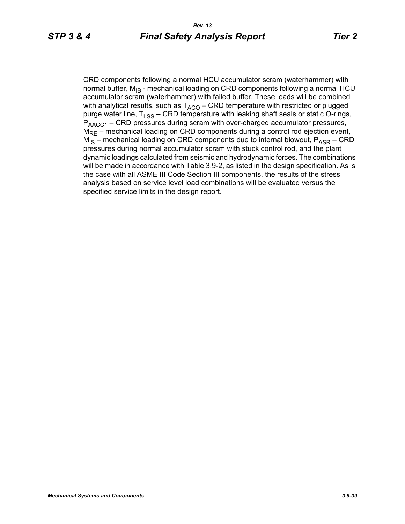CRD components following a normal HCU accumulator scram (waterhammer) with normal buffer,  $M_{IB}$  - mechanical loading on CRD components following a normal HCU accumulator scram (waterhammer) with failed buffer. These loads will be combined with analytical results, such as  $T_{ACO}$  – CRD temperature with restricted or plugged purge water line,  $T_{LSS}$  – CRD temperature with leaking shaft seals or static O-rings,  $P_{\text{AACC1}}$  – CRD pressures during scram with over-charged accumulator pressures,  $M_{RF}$  – mechanical loading on CRD components during a control rod ejection event,  $M_{IS}$  – mechanical loading on CRD components due to internal blowout,  $P_{ASR}$  – CRD pressures during normal accumulator scram with stuck control rod, and the plant dynamic loadings calculated from seismic and hydrodynamic forces. The combinations will be made in accordance with Table 3.9-2, as listed in the design specification. As is the case with all ASME III Code Section III components, the results of the stress analysis based on service level load combinations will be evaluated versus the specified service limits in the design report.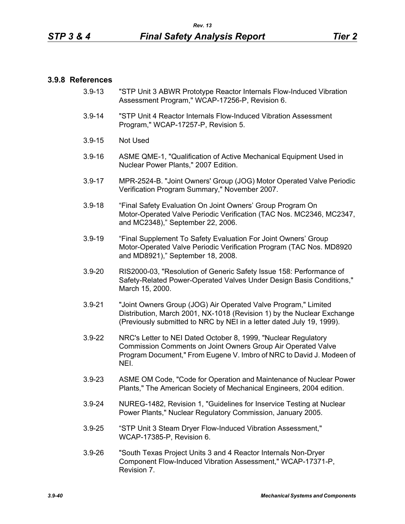#### **3.9.8 References**

- 3.9-13 "STP Unit 3 ABWR Prototype Reactor Internals Flow-Induced Vibration Assessment Program," WCAP-17256-P, Revision 6.
- 3.9-14 "STP Unit 4 Reactor Internals Flow-Induced Vibration Assessment Program," WCAP-17257-P, Revision 5.
- 3.9-15 Not Used
- 3.9-16 ASME QME-1, "Qualification of Active Mechanical Equipment Used in Nuclear Power Plants," 2007 Edition.
- 3.9-17 MPR-2524-B. "Joint Owners' Group (JOG) Motor Operated Valve Periodic Verification Program Summary," November 2007.
- 3.9-18 "Final Safety Evaluation On Joint Owners' Group Program On Motor-Operated Valve Periodic Verification (TAC Nos. MC2346, MC2347, and MC2348)," September 22, 2006.
- 3.9-19 "Final Supplement To Safety Evaluation For Joint Owners' Group Motor-Operated Valve Periodic Verification Program (TAC Nos. MD8920 and MD8921)," September 18, 2008.
- 3.9-20 RIS2000-03, "Resolution of Generic Safety Issue 158: Performance of Safety-Related Power-Operated Valves Under Design Basis Conditions," March 15, 2000.
- 3.9-21 "Joint Owners Group (JOG) Air Operated Valve Program," Limited Distribution, March 2001, NX-1018 (Revision 1) by the Nuclear Exchange (Previously submitted to NRC by NEI in a letter dated July 19, 1999).
- 3.9-22 NRC's Letter to NEI Dated October 8, 1999, "Nuclear Regulatory Commission Comments on Joint Owners Group Air Operated Valve Program Document," From Eugene V. Imbro of NRC to David J. Modeen of NEI.
- 3.9-23 ASME OM Code, "Code for Operation and Maintenance of Nuclear Power Plants," The American Society of Mechanical Engineers, 2004 edition.
- 3.9-24 NUREG-1482, Revision 1, "Guidelines for Inservice Testing at Nuclear Power Plants," Nuclear Regulatory Commission, January 2005.
- 3.9-25 "STP Unit 3 Steam Dryer Flow-Induced Vibration Assessment," WCAP-17385-P, Revision 6.
- 3.9-26 "South Texas Project Units 3 and 4 Reactor Internals Non-Dryer Component Flow-Induced Vibration Assessment," WCAP-17371-P, Revision 7.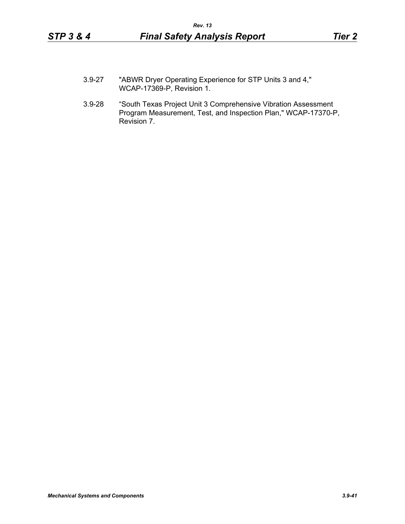- 3.9-27 "ABWR Dryer Operating Experience for STP Units 3 and 4," WCAP-17369-P, Revision 1.
- 3.9-28 "South Texas Project Unit 3 Comprehensive Vibration Assessment Program Measurement, Test, and Inspection Plan," WCAP-17370-P, Revision 7.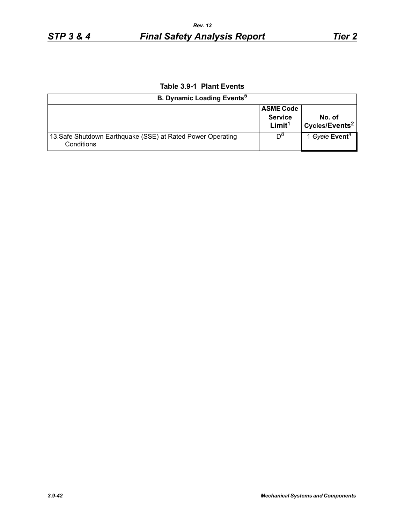# **Table 3.9-1 Plant Events**

| <b>B. Dynamic Loading Events<sup>5</sup></b>                              |                                                          |                                       |
|---------------------------------------------------------------------------|----------------------------------------------------------|---------------------------------------|
|                                                                           | <b>ASME Code</b><br><b>Service</b><br>Limit <sup>1</sup> | No. of<br>Cycles/Events <sup>2</sup>  |
| 13. Safe Shutdown Earthquake (SSE) at Rated Power Operating<br>Conditions | D <sup>o</sup>                                           | 1 <del>Cycle</del> Event <sup>4</sup> |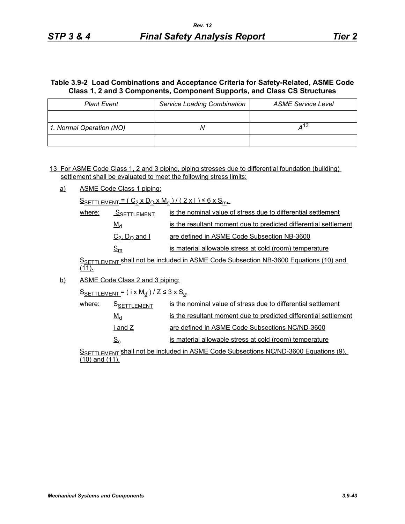## **Table 3.9-2 Load Combinations and Acceptance Criteria for Safety-Related, ASME Code Class 1, 2 and 3 Components, Component Supports, and Class CS Structures**

| <b>Plant Event</b>       | <b>Service Loading Combination</b> | <b>ASME Service Level</b> |
|--------------------------|------------------------------------|---------------------------|
|                          |                                    |                           |
| 1. Normal Operation (NO) |                                    | <u>⊿13</u>                |
|                          |                                    |                           |

13 For ASME Code Class 1, 2 and 3 piping, piping stresses due to differential foundation (building) settlement shall be evaluated to meet the following stress limits:

a) ASME Code Class 1 piping:

 $S_{SETTLEMENT} = (C_2 \times D_0 \times M_d) / (2 \times 1) \leq 6 \times S_{m}$ 

| where: | SSETTLEMENT         | is the nominal value of stress due to differential settlement    |
|--------|---------------------|------------------------------------------------------------------|
|        | $M_d$               | is the resultant moment due to predicted differential settlement |
|        | $C_2$ , $D_0$ and I | are defined in ASME Code Subsection NB-3600                      |
|        | $S_{\mathsf{m}}$    | is material allowable stress at cold (room) temperature          |

SSETTLEMENT Shall not be included in ASME Code Subsection NB-3600 Equations (10) and  $(11)$ .

b) ASME Code Class 2 and 3 piping:

 $S$ SETTLEMENT =  $(i \times M_d)/Z \leq 3 \times S_c$ 

| where: | <b>SSETTLEMENT</b> | is the nominal value of stress due to differential settlement    |
|--------|--------------------|------------------------------------------------------------------|
|        | $M_d$              | is the resultant moment due to predicted differential settlement |
|        | i and Z            | are defined in ASME Code Subsections NC/ND-3600                  |
|        | $S_{\rm c}$        | is material allowable stress at cold (room) temperature          |

SSETTLEMENT shall not be included in ASME Code Subsections NC/ND-3600 Equations (9),  $(10)$  and  $(11)$ .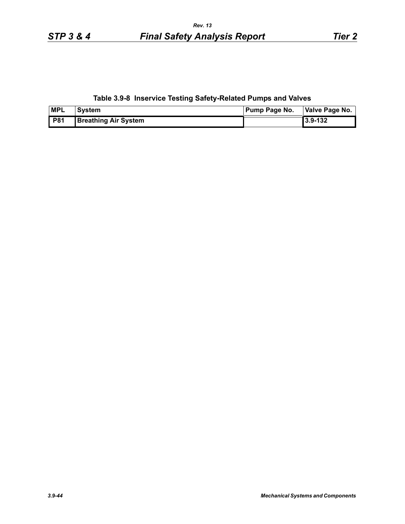**Table 3.9-8 Inservice Testing Safety-Related Pumps and Valves**

| <b>MPL</b> | <b>System</b>               | <b>Pump Page No.</b> | Valve Page No. |
|------------|-----------------------------|----------------------|----------------|
| <b>P81</b> | <b>Breathing Air System</b> |                      | 3.9-132        |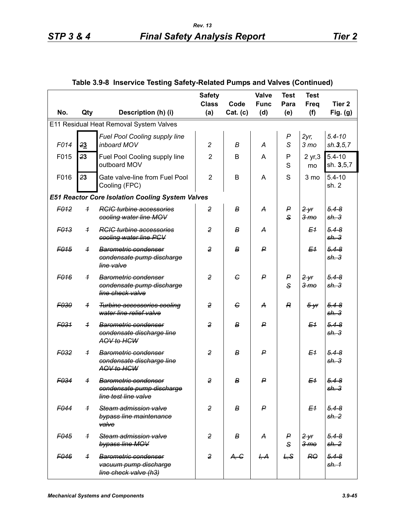|                  |                |                                                                                      | <b>Safety</b><br><b>Class</b> | Code             | Valve<br><b>Func</b> | <b>Test</b><br>Para   | <b>Test</b><br><b>Freq</b> | Tier <sub>2</sub>             |
|------------------|----------------|--------------------------------------------------------------------------------------|-------------------------------|------------------|----------------------|-----------------------|----------------------------|-------------------------------|
| No.              | Qty            | Description (h) (i)                                                                  | (a)                           | Cat. (c)         | (d)                  | (e)                   | (f)                        | Fig. $(g)$                    |
|                  |                | E11 Residual Heat Removal System Valves                                              |                               |                  |                      |                       |                            |                               |
| F014             | 23             | Fuel Pool Cooling supply line<br>inboard MOV                                         | $\overline{c}$                | $\boldsymbol{B}$ | A                    | $\boldsymbol{P}$<br>S | 2yr<br>3 <sub>mo</sub>     | $5.4 - 10$<br>sh.3, 5, 7      |
| F015             | 23             | Fuel Pool Cooling supply line<br>outboard MOV                                        | $\overline{2}$                | B                | A                    | P<br>S                | 2 yr, 3<br>mo              | $5.4 - 10$<br>sh. 3,5,7       |
| F016             | 23             | Gate valve-line from Fuel Pool<br>Cooling (FPC)                                      | $\overline{2}$                | B                | A                    | S                     | 3 mo                       | $5.4 - 10$<br>sh.2            |
|                  |                | <b>E51 Reactor Core Isolation Cooling System Valves</b>                              |                               |                  |                      |                       |                            |                               |
| F012             | $\overline{1}$ | <b>RCIC turbine accessories</b><br>cooling water line MOV                            | $\overline{2}$                | B                | А                    | P<br>$\mathbf{s}$     | 2yr<br>3 <sub>mo</sub>     | $5.4 - 8$<br>sh.3             |
| F <sub>013</sub> | $\overline{1}$ | <b>RGIG turbine accessories</b><br>cooling water line PCV                            | 2                             | B                | A                    |                       | E <sub>1</sub>             | $5.4 - 8$<br>sh.3             |
| F <sub>015</sub> | $\overline{1}$ | Barometric condenser<br>condensate pump discharge<br>line valve                      | $\overline{2}$                | B                | P                    |                       | E <sub>1</sub>             | $5.4 - 8$<br>sh.3             |
| F <sub>016</sub> | $\overline{1}$ | Barometric condenser<br>condensate pump discharge<br>line check valve                | $\overline{2}$                | $\epsilon$       | $\mathsf{P}$         | P<br>$\mathbf{s}$     | 2yr<br>3 <sub>mo</sub>     | $5.4 - 8$<br>sh.3             |
| F030             | $\overline{1}$ | Turbine accessories cooling<br>water line relief valve                               | $\overline{2}$                | $\epsilon$       | A                    | R                     | $5 - yr$                   | $5.4 - 8$<br>sh.3             |
| F031             | $\overline{1}$ | Barometric condenser<br>condensate discharge line<br>AOV to HCW                      | $\overline{2}$                | B                | ₽                    |                       | E <sub>1</sub>             | $5.4 - 8$<br>sh.3             |
| F <sub>032</sub> | $\overline{1}$ | <b>Barometric condenser</b><br>condensate discharge line<br>AOV to HCW               | $\overline{2}$                | B                | P                    |                       | E <sub>1</sub>             | $5.4 - 8$<br>sh.3             |
| F <sub>034</sub> | $\overline{1}$ | Barometric condenser<br><del>condensate pump discharge</del><br>line test line valve | $\overline{2}$                | B                | $\mathsf{P}$         |                       | E <sub>1</sub>             | $5.4 - 8$<br><del>sh. 3</del> |
| F <sub>044</sub> | $\overline{1}$ | Steam admission valve<br>bypass line maintenance<br>valve                            | $\overline{2}$                | B                | $\mathsf{P}$         |                       | E <sub>1</sub>             | $5.4 - 8$<br>sh.2             |
| F <sub>045</sub> | $\overline{1}$ | Steam admission valve<br>bypass line MOV                                             | $\overline{2}$                | В                | A                    | P<br>$\mathbf{s}$     | 2yr<br>3 <sub>mo</sub>     | $5.4 - 8$<br><del>sh. 2</del> |
| F046             | $\overline{1}$ | <b>Barometric condenser</b><br>vacuum pump discharge<br>line check valve (h3)        | $\overline{2}$                | A <del>, C</del> | H, A                 | L, S                  | R <sub>0</sub>             | $5.4 - 8$<br><del>sh. 1</del> |

## **Table 3.9-8 Inservice Testing Safety-Related Pumps and Valves (Continued)**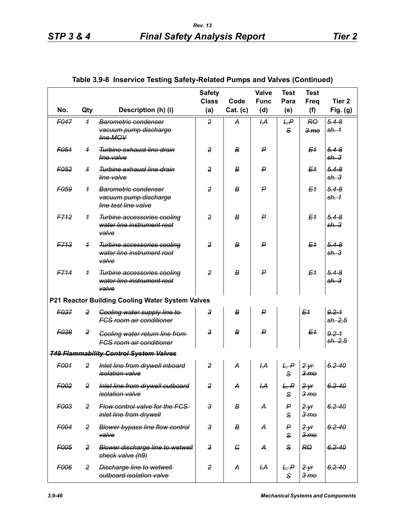*check valve (h9)*

*outboard isolation valve*

*F006 2 Discharge line to wetwell* 

|                  |                |                                                                           | <b>Class</b>               | Code             | <b>Func</b>    | Para                 | <b>Freq</b>                           | Tier <sub>2</sub>             |
|------------------|----------------|---------------------------------------------------------------------------|----------------------------|------------------|----------------|----------------------|---------------------------------------|-------------------------------|
| No.              | Qty            | Description (h) (i)                                                       | (a)                        | Cat. (c)         | (d)            | (e)                  | (f)                                   | Fig. $(g)$                    |
| F047             | $\overline{1}$ | Barometric condenser<br>vacuum pump discharge<br>line MOV                 | $\overline{2}$             | A                | H, A           | L, P<br>$\mathbf{s}$ | RO<br>3 <sub>me</sub>                 | $5.4 - 8$<br><del>sh. 1</del> |
| F051             | $\overline{1}$ | Turbine exhaust line drain<br>line valve                                  | $\overline{2}$             | B                | P              |                      | E <sub>1</sub>                        | $5.4 - 8$<br>sh.3             |
| F <sub>052</sub> | $\overline{1}$ | Turbine exhaust line drain<br>line valve                                  | $\overline{2}$             | B                | P              |                      | E <sub>1</sub>                        | $5.4 - 8$<br>sh.3             |
| <b>FO59</b>      | $\overline{1}$ | Barometric condenser<br>vacuum pump discharge<br>line test line valve     | $\overline{2}$             | B                | P              |                      | E <sub>1</sub>                        | $5.4 - 8$<br>sh.4             |
| F712             | $\overline{1}$ | Turbine accessories cooling<br>water line instrument root<br>valve        | $\overline{2}$             | $\boldsymbol{B}$ | $\mathsf{P}$   |                      | E <sub>1</sub>                        | $5.4 - 8$<br>sh.3             |
| F713             | $\overline{1}$ | Turbine accessories cooling<br>water line instrument root<br>valve        | $\overline{2}$             | $\boldsymbol{B}$ | $\mathsf{P}$   |                      | E <sub>1</sub>                        | $5.4 - 8$<br>sh.3             |
| F714             | $\overline{1}$ | Turbine accessories cooling<br>water line instrument root<br>valve        | $\overline{2}$             | $\boldsymbol{B}$ | $\mathsf{P}$   |                      | E <sub>1</sub>                        | $5.4 - 8$<br>sh.3             |
|                  |                | P21 Reactor Building Cooling Water System Valves                          |                            |                  |                |                      |                                       |                               |
| F037             | 2              | Cooling water supply line to<br><b>FCS room air conditioner</b>           | $\boldsymbol{\mathcal{S}}$ | $\boldsymbol{B}$ | $\mathsf{P}$   |                      | E <sub>1</sub>                        | $9.2 - 1$<br>sh. 2, 5         |
| F038             | 2              | <b>Cooling water return line from-</b><br><b>FCS room air conditioner</b> | $\mathsf{3}$               | $\boldsymbol{B}$ | $\mathsf{P}$   |                      | E <sub>1</sub>                        | $9.2 - 1$<br>sh. 2,5          |
|                  |                | <b>T49 Flammability Control System Valves</b>                             |                            |                  |                |                      |                                       |                               |
| F001             | $\overline{2}$ | Inlet line from drywell inboard<br><i>isolation</i> valve                 | $\overline{2}$             | A                | H, A           | L, P<br>$\mathbf{s}$ | 2yr<br>3 <sub>mo</sub>                | $6.2 - 40$                    |
| F <sub>002</sub> | 2              | Inlet line from drywell outboard<br>isolation valve                       | $\overline{2}$             | A                | <del>І,А</del> | L, P<br>S            | 2yr<br>3 <sub>mo</sub>                | $6.2 - 40$                    |
| F003             | 2              | Flow control valve for the FCS<br>inlet line from drywell                 | $\mathbf{3}$               | В                | А              | P<br>S               | 2 <sup>y</sup> r<br>$3 \,$ m $\theta$ | $6.2 - 40$                    |
| <b>F004</b>      | 2              | <b>Blower bypass line flow control</b><br>valve                           | $\mathbf{3}$               | В                | А              | P<br>S               | $2$ yr<br>$3 \,$ m $\sigma$           | $6.2 - 40$                    |
| F005             | 2              | Blower discharge line to wetwell                                          | $\mathbf{3}$               | $\epsilon$       | А              | S                    | R <sub>0</sub>                        | $6.2 - 40$                    |

### **Table 3.9-8 Inservice Testing Safety-Related Pumps and Valves (Continued)**

**Safety** 

**Valve** 

**Test** 

**Test** 

*2 yr 3 mo* *6.2-40*

*S*

*2 A I,A L, P*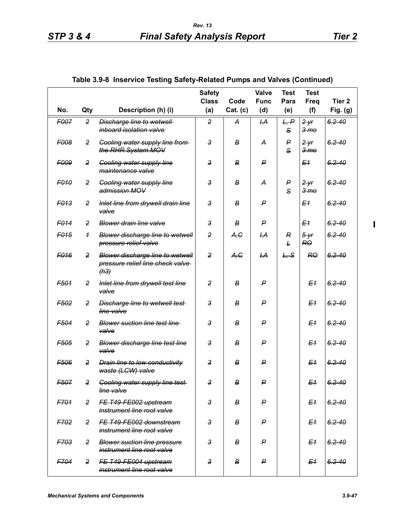$\mathbf{I}$ 

|                  |                |                                                                                     | <b>Safety</b><br><b>Class</b> | Code     | Valve<br><b>Func</b> | <b>Test</b><br>Para   | <b>Test</b><br><b>Freq</b> | Tier <sub>2</sub> |
|------------------|----------------|-------------------------------------------------------------------------------------|-------------------------------|----------|----------------------|-----------------------|----------------------------|-------------------|
| No.              | Qty            | Description (h) (i)                                                                 | (a)                           | Cat. (c) | (d)                  | (e)                   | (f)                        | Fig. (g)          |
| F007             | 2              | Discharge line to wetwell<br>inboard isolation valve                                | $\overline{2}$                | А        | ĻА                   | L, P<br>S             | 2yr<br>3 <sub>mo</sub>     | $6.2 - 40$        |
| F008             | $\overline{2}$ | <b>Cooling water supply line from-</b><br>the RHR System MOV                        | 3                             | В        | A                    | P<br>$\mathbf{s}$     | 2 yr<br>3 <sub>mo</sub>    | $6.2 - 40$        |
| F009             | 2              | <b>Gooling water supply line</b><br>maintenance valve                               | 3                             | В        | ₽                    |                       | E <sub>1</sub>             | $6.2 - 40$        |
| F <sub>010</sub> | $\overline{2}$ | <b>Gooling water supply line</b><br>admission MOV                                   | $\mathbf{3}$                  | В        | А                    | P<br>S                | 2yr<br>3 <sub>mo</sub>     | $6.2 - 40$        |
| F013             | 2              | Inlet line from drywell drain line<br>valve                                         | 3                             | B        | P                    |                       | E <sub>1</sub>             | $6.2 - 40$        |
| F <sub>014</sub> | 2              | Blower drain line valve                                                             | $\mathsf{3}$                  | B        | P                    |                       | E <sub>1</sub>             | $6.2 - 40$        |
| F <sub>015</sub> | $\overline{1}$ | Blower discharge line to wetwell<br>pressure relief valve                           | $\overline{2}$                | A,C      | <del>І,А</del>       | $\boldsymbol{R}$<br>F | $5 - yr$<br>RO             | $6.2 - 40$        |
| F <sub>016</sub> | $\overline{2}$ | <b>Blower discharge line to wetwell</b><br>pressure relief line check valve<br>(h3) | $\overline{2}$                | A,G      | H, A                 | L, S                  | R <sub>0</sub>             | $6.2 - 40$        |
| F501             | 2              | Inlet line from drywell test line<br>valve                                          | $\overline{2}$                | В        | P                    |                       | E <sub>1</sub>             | $6.2 - 40$        |
| F <sub>502</sub> | 2              | Discharge line to wetwell test-<br>line valve                                       | $\overline{3}$                | B        | ₽                    |                       | E <sub>1</sub>             | $6.2 - 40$        |
| F504             | 2              | <b>Blower suction line test line</b><br>valve                                       | $\mathbf{3}$                  | В        | P                    |                       | E <sub>1</sub>             | $6.2 - 40$        |
| F505             | 2              | <b>Blower discharge line test line</b><br>valve                                     | $\mathbf{3}$                  | В        | P                    |                       | E <sub>1</sub>             | $6.2 - 40$        |
| F506             | 2              | <b>Drain line to low conductivity</b><br>waste (LCW) valve                          | 3                             | B        | ₽                    |                       | E <sub>1</sub>             | $6.2 - 40$        |
| F507             | $\overline{2}$ | <b>Cooling water supply line test-</b><br>line valve                                | 3                             | в        | ۳                    |                       | E <sub>1</sub>             | $6.2 - 40$        |
| F701             | $\overline{2}$ | FE T49-FE002 upstream<br>instrument line root valve                                 | $\mathbf{3}$                  | В        | P                    |                       | E <sub>1</sub>             | $6.2 - 40$        |
| <b>F702</b>      | $\overline{2}$ | FE T49-FE002 downstream<br>instrument line root valve                               | $\mathbf{3}$                  | В        | P                    |                       | E <sub>1</sub>             | $6.2 - 40$        |
| <b>F703</b>      | $\overline{2}$ | <b>Blower suction line pressure</b><br>instrument line root valve                   | $\mathbf{3}$                  | B        | P                    |                       | E <sub>1</sub>             | $6.2 - 40$        |
| F704             | $\overline{2}$ | FE T49-FE004 upstream<br>instrument line root valve                                 | $\mathsf 3$                   | В        | P                    |                       | E <sub>1</sub>             | $6.2 - 40$        |

## **Table 3.9-8 Inservice Testing Safety-Related Pumps and Valves (Continued)**